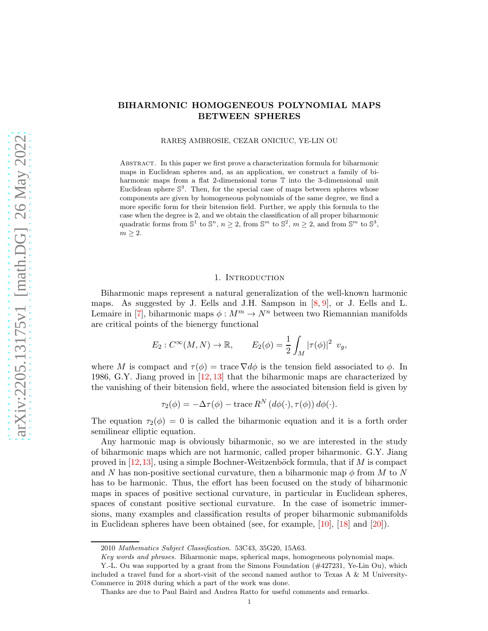# BIHARMONIC HOMOGENEOUS POLYNOMIAL MAPS BETWEEN SPHERES

RARES¸ AMBROSIE, CEZAR ONICIUC, YE-LIN OU

Abstract. In this paper we first prove a characterization formula for biharmonic maps in Euclidean spheres and, as an application, we construct a family of biharmonic maps from a flat 2-dimensional torus T into the 3-dimensional unit Euclidean sphere  $\mathbb{S}^3$ . Then, for the special case of maps between spheres whose components are given by homogeneous polynomials of the same degree, we find a more specific form for their bitension field. Further, we apply this formula to the case when the degree is 2, and we obtain the classification of all proper biharmonic quadratic forms from  $\mathbb{S}^1$  to  $\mathbb{S}^n$ ,  $n \geq 2$ , from  $\mathbb{S}^m$  to  $\mathbb{S}^2$ ,  $m \geq 2$ , and from  $\mathbb{S}^m$  to  $\mathbb{S}^3$ ,  $m \geq 2$ .

#### 1. INTRODUCTION

Biharmonic maps represent a natural generalization of the well-known harmonic maps. As suggested by J. Eells and J.H. Sampson in  $[8, 9]$  $[8, 9]$ , or J. Eells and L. Lemaire in [\[7\]](#page-34-2), biharmonic maps  $\phi : M^m \to N^n$  between two Riemannian manifolds are critical points of the bienergy functional

$$
E_2: C^{\infty}(M, N) \to \mathbb{R}, \qquad E_2(\phi) = \frac{1}{2} \int_M |\tau(\phi)|^2 v_g,
$$

where M is compact and  $\tau(\phi) = \text{trace } \nabla d\phi$  is the tension field associated to  $\phi$ . In 1986, G.Y. Jiang proved in [\[12,](#page-34-3) [13\]](#page-34-4) that the biharmonic maps are characterized by the vanishing of their bitension field, where the associated bitension field is given by

 $\tau_2(\phi) = -\Delta \tau(\phi) - \text{trace } R^N \left( d\phi(\cdot), \tau(\phi) \right) d\phi(\cdot).$ 

The equation  $\tau_2(\phi) = 0$  is called the biharmonic equation and it is a forth order semilinear elliptic equation.

Any harmonic map is obviously biharmonic, so we are interested in the study of biharmonic maps which are not harmonic, called proper biharmonic. G.Y. Jiang proved in  $[12,13]$  $[12,13]$ , using a simple Bochner-Weitzenböck formula, that if M is compact and N has non-positive sectional curvature, then a biharmonic map  $\phi$  from M to N has to be harmonic. Thus, the effort has been focused on the study of biharmonic maps in spaces of positive sectional curvature, in particular in Euclidean spheres, spaces of constant positive sectional curvature. In the case of isometric immersions, many examples and classification results of proper biharmonic submanifolds in Euclidean spheres have been obtained (see, for example, [\[10\]](#page-34-5), [\[18\]](#page-34-6) and [\[20\]](#page-34-7)).

<sup>2010</sup> Mathematics Subject Classification. 53C43, 35G20, 15A63.

Key words and phrases. Biharmonic maps, spherical maps, homogeneous polynomial maps.

Y.-L. Ou was supported by a grant from the Simons Foundation (#427231, Ye-Lin Ou), which included a travel fund for a short-visit of the second named author to Texas A  $\&$  M University-Commerce in 2018 during which a part of the work was done.

Thanks are due to Paul Baird and Andrea Ratto for useful comments and remarks.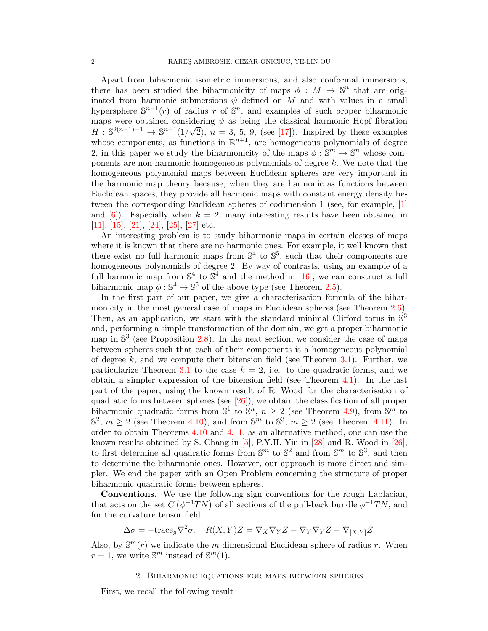Apart from biharmonic isometric immersions, and also conformal immersions, there has been studied the biharmonicity of maps  $\phi : M \to \mathbb{S}^n$  that are originated from harmonic submersions  $\psi$  defined on M and with values in a small hypersphere  $\mathbb{S}^{n-1}(r)$  of radius r of  $\mathbb{S}^n$ , and examples of such proper biharmonic maps were obtained considering  $\psi$  as being the classical harmonic Hopf fibration  $H : \mathbb{S}^{2(n-1)-1} \to \mathbb{S}^{n-1}(1/\sqrt{2}), n = 3, 5, 9$ , (see [\[17\]](#page-34-8)). Inspired by these examples whose components, as functions in  $\mathbb{R}^{n+1}$ , are homogeneous polynomials of degree 2, in this paper we study the biharmonicity of the maps  $\phi : \mathbb{S}^m \to \mathbb{S}^n$  whose components are non-harmonic homogeneous polynomials of degree k. We note that the homogeneous polynomial maps between Euclidean spheres are very important in the harmonic map theory because, when they are harmonic as functions between Euclidean spaces, they provide all harmonic maps with constant energy density between the corresponding Euclidean spheres of codimension 1 (see, for example, [\[1\]](#page-34-9) and  $[6]$ ). Especially when  $k = 2$ , many interesting results have been obtained in [\[11\]](#page-34-11), [\[15\]](#page-34-12), [\[21\]](#page-34-13), [\[24\]](#page-35-0), [\[25\]](#page-35-1), [\[27\]](#page-35-2) etc.

An interesting problem is to study biharmonic maps in certain classes of maps where it is known that there are no harmonic ones. For example, it well known that there exist no full harmonic maps from  $\mathbb{S}^4$  to  $\mathbb{S}^5$ , such that their components are homogeneous polynomials of degree 2. By way of contrasts, using an example of a full harmonic map from  $\mathbb{S}^4$  to  $\mathbb{S}^4$  and the method in [\[16\]](#page-34-14), we can construct a full biharmonic map  $\phi : \mathbb{S}^4 \to \mathbb{S}^5$  of the above type (see Theorem [2.5\)](#page-2-0).

In the first part of our paper, we give a characterisation formula of the biharmonicity in the most general case of maps in Euclidean spheres (see Theorem [2.6\)](#page-3-0). Then, as an application, we start with the standard minimal Clifford torus in  $\mathbb{S}^3$ and, performing a simple transformation of the domain, we get a proper biharmonic map in  $\mathbb{S}^3$  (see Proposition [2.8\)](#page-5-0). In the next section, we consider the case of maps between spheres such that each of their components is a homogeneous polynomial of degree  $k$ , and we compute their bitension field (see Theorem [3.1\)](#page-7-0). Further, we particularize Theorem [3.1](#page-7-0) to the case  $k = 2$ , i.e. to the quadratic forms, and we obtain a simpler expression of the bitension field (see Theorem [4.1\)](#page-13-0). In the last part of the paper, using the known result of R. Wood for the characterisation of quadratic forms between spheres (see [\[26\]](#page-35-3)), we obtain the classification of all proper biharmonic quadratic forms from  $\mathbb{S}^1$  to  $\mathbb{S}^n$ ,  $n \geq 2$  (see Theorem [4.9\)](#page-18-0), from  $\mathbb{S}^m$  to  $\mathbb{S}^2$ ,  $m \ge 2$  (see Theorem [4.10\)](#page-19-0), and from  $\mathbb{S}^m$  to  $\mathbb{S}^3$ ,  $m \ge 2$  (see Theorem [4.11\)](#page-22-0). In order to obtain Theorems [4.10](#page-19-0) and [4.11,](#page-22-0) as an alternative method, one can use the known results obtained by S. Chang in  $[5]$ , P.Y.H. Yiu in  $[28]$  and R. Wood in  $[26]$ , to first determine all quadratic forms from  $\mathbb{S}^m$  to  $\mathbb{S}^2$  and from  $\mathbb{S}^m$  to  $\mathbb{S}^3$ , and then to determine the biharmonic ones. However, our approach is more direct and simpler. We end the paper with an Open Problem concerning the structure of proper biharmonic quadratic forms between spheres.

Conventions. We use the following sign conventions for the rough Laplacian, that acts on the set  $C(\phi^{-1}TN)$  of all sections of the pull-back bundle  $\phi^{-1}TN$ , and for the curvature tensor field

$$
\Delta \sigma = -\text{trace}_{g} \nabla^{2} \sigma, \quad R(X,Y)Z = \nabla_{X} \nabla_{Y} Z - \nabla_{Y} \nabla_{Y} Z - \nabla_{[X,Y]} Z.
$$

Also, by  $\mathbb{S}^m(r)$  we indicate the *m*-dimensional Euclidean sphere of radius r. When  $r = 1$ , we write  $\mathbb{S}^m$  instead of  $\mathbb{S}^m(1)$ .

#### 2. Biharmonic equations for maps between spheres

First, we recall the following result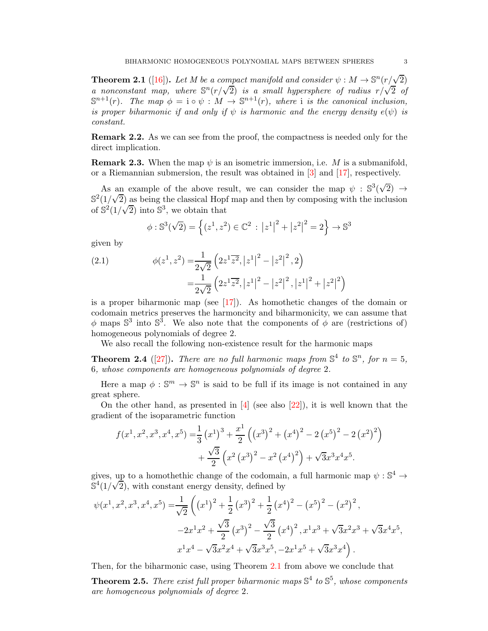<span id="page-2-1"></span>**Theorem 2.1** ([\[16\]](#page-34-14)). Let M be a compact manifold and consider  $\psi : M \to \mathbb{S}^n(r/\sqrt{2})$ *a* nonconstant map, where  $\mathbb{S}^n(r/\sqrt{2})$  *is a small hypersphere of radius*  $r/\sqrt{2}$  *of*  $\mathbb{S}^{n+1}(r)$ *. The map*  $\phi = \mathfrak{i} \circ \psi : M \to \mathbb{S}^{n+1}(r)$ *, where* i *is the canonical inclusion*, *is proper biharmonic if and only if*  $\psi$  *is harmonic and the energy density*  $e(\psi)$  *is constant.*

Remark 2.2. As we can see from the proof, the compactness is needed only for the direct implication.

**Remark 2.3.** When the map  $\psi$  is an isometric immersion, i.e. M is a submanifold, or a Riemannian submersion, the result was obtained in [\[3\]](#page-34-16) and [\[17\]](#page-34-8), respectively.

As an example of the above result, we can consider the map  $\psi : \mathbb{S}^3(\sqrt{2}) \to$  $\mathbb{S}^2(1/\sqrt{2})$  as being the classical Hopf map and then by composing with the inclusion of  $\mathbb{S}^2(1/\sqrt{2})$  into  $\mathbb{S}^3$ , we obtain that

$$
\phi : \mathbb{S}^3(\sqrt{2}) = \left\{ (z^1, z^2) \in \mathbb{C}^2 : |z^1|^2 + |z^2|^2 = 2 \right\} \to \mathbb{S}^3
$$

given by

<span id="page-2-2"></span>(2.1) 
$$
\phi(z^1, z^2) = \frac{1}{2\sqrt{2}} \left( 2z^1 \overline{z^2}, |z^1|^2 - |z^2|^2, 2 \right)
$$

$$
= \frac{1}{2\sqrt{2}} \left( 2z^1 \overline{z^2}, |z^1|^2 - |z^2|^2, |z^1|^2 + |z^2|^2 \right)
$$

is a proper biharmonic map (see  $[17]$ ). As homothetic changes of the domain or codomain metrics preserves the harmoncity and biharmonicity, we can assume that  $\phi$  maps  $\mathbb{S}^3$  into  $\mathbb{S}^3$ . We also note that the components of  $\phi$  are (restrictions of) homogeneous polynomials of degree 2.

We also recall the following non-existence result for the harmonic maps

**Theorem 2.4** ([\[27\]](#page-35-2)). *There are no full harmonic maps from*  $\mathbb{S}^4$  to  $\mathbb{S}^n$ *, for*  $n = 5$ *,* 6*, whose components are homogeneous polynomials of degree* 2*.*

Here a map  $\phi : \mathbb{S}^m \to \mathbb{S}^n$  is said to be full if its image is not contained in any great sphere.

On the other hand, as presented in  $[4]$  (see also  $[22]$ ), it is well known that the gradient of the isoparametric function

$$
f(x^{1}, x^{2}, x^{3}, x^{4}, x^{5}) = \frac{1}{3} (x^{1})^{3} + \frac{x^{1}}{2} ((x^{3})^{2} + (x^{4})^{2} - 2 (x^{5})^{2} - 2 (x^{2})^{2})
$$

$$
+ \frac{\sqrt{3}}{2} (x^{2} (x^{3})^{2} - x^{2} (x^{4})^{2}) + \sqrt{3}x^{3}x^{4}x^{5}.
$$

gives, up to a homothethic change of the codomain, a full harmonic map  $\psi : \mathbb{S}^4 \to$  $\mathbb{S}^4(1/\sqrt{2})$ , with constant energy density, defined by

$$
\psi(x^1, x^2, x^3, x^4, x^5) = \frac{1}{\sqrt{2}} \left( (x^1)^2 + \frac{1}{2} (x^3)^2 + \frac{1}{2} (x^4)^2 - (x^5)^2 - (x^2)^2 \right),
$$
  

$$
-2x^1x^2 + \frac{\sqrt{3}}{2} (x^3)^2 - \frac{\sqrt{3}}{2} (x^4)^2, x^1x^3 + \sqrt{3}x^2x^3 + \sqrt{3}x^4x^5,
$$
  

$$
x^1x^4 - \sqrt{3}x^2x^4 + \sqrt{3}x^3x^5, -2x^1x^5 + \sqrt{3}x^3x^4 \right).
$$

Then, for the biharmonic case, using Theorem [2.1](#page-2-1) from above we conclude that

<span id="page-2-0"></span>**Theorem 2.5.** There exist full proper biharmonic maps  $\mathbb{S}^4$  to  $\mathbb{S}^5$ , whose components *are homogeneous polynomials of degree* 2*.*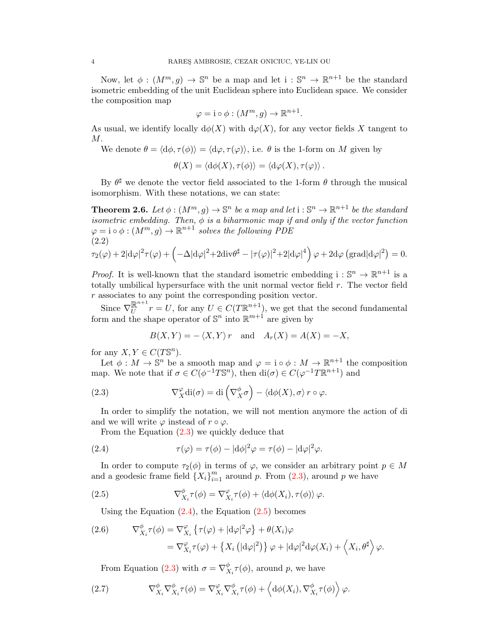Now, let  $\phi: (M^m, g) \to \mathbb{S}^n$  be a map and let  $i: \mathbb{S}^n \to \mathbb{R}^{n+1}$  be the standard isometric embedding of the unit Euclidean sphere into Euclidean space. We consider the composition map

$$
\varphi = \mathrm{i} \circ \phi : (M^m, g) \to \mathbb{R}^{n+1}.
$$

As usual, we identify locally  $d\phi(X)$  with  $d\phi(X)$ , for any vector fields X tangent to  $M$ .

We denote  $\theta = \langle d\phi, \tau(\phi) \rangle = \langle d\phi, \tau(\varphi) \rangle$ , i.e.  $\theta$  is the 1-form on M given by

$$
\theta(X) = \langle d\phi(X), \tau(\phi) \rangle = \langle d\varphi(X), \tau(\varphi) \rangle.
$$

By  $\theta^{\sharp}$  we denote the vector field associated to the 1-form  $\theta$  through the musical isomorphism. With these notations, we can state:

<span id="page-3-0"></span>**Theorem 2.6.** Let  $\phi: (M^m, g) \to \mathbb{S}^n$  be a map and let  $i: \mathbb{S}^n \to \mathbb{R}^{n+1}$  be the standard *isometric embedding. Then,*  $\phi$  *is a biharmonic map if and only if the vector function*  $\varphi = i \circ \phi : (M^m, g) \to \mathbb{R}^{n+1}$  solves the following PDE (2.2)

<span id="page-3-6"></span>
$$
\tau_2(\varphi) + 2|\mathrm{d}\varphi|^2 \tau(\varphi) + \left(-\Delta|\mathrm{d}\varphi|^2 + 2\mathrm{div}\theta^{\sharp} - |\tau(\varphi)|^2 + 2|\mathrm{d}\varphi|^4\right)\varphi + 2\mathrm{d}\varphi\left(\mathrm{grad}|\mathrm{d}\varphi|^2\right) = 0.
$$

*Proof.* It is well-known that the standard isometric embedding  $i : \mathbb{S}^n \to \mathbb{R}^{n+1}$  is a totally umbilical hypersurface with the unit normal vector field  $r$ . The vector field r associates to any point the corresponding position vector.

Since  $\nabla_U^{\mathbb{R}^{n+1}}$  $\mathbb{R}^{n+1}$   $r = U$ , for any  $U \in C(T\mathbb{R}^{n+1})$ , we get that the second fundamental form and the shape operator of  $\mathbb{S}^n$  into  $\mathbb{R}^{m+1}$  are given by

<span id="page-3-1"></span>
$$
B(X,Y) = -\langle X,Y \rangle r \quad \text{and} \quad A_r(X) = A(X) = -X,
$$

for any  $X, Y \in C(T\mathbb{S}^n)$ .

Let  $\phi: M \to \mathbb{S}^n$  be a smooth map and  $\varphi = i \circ \phi: M \to \mathbb{R}^{n+1}$  the composition map. We note that if  $\sigma \in C(\phi^{-1}T\mathbb{S}^n)$ , then  $di(\sigma) \in C(\phi^{-1}T\mathbb{R}^{n+1})$  and

(2.3) 
$$
\nabla_X^{\varphi} \text{di}(\sigma) = \text{di}\left(\nabla_X^{\phi} \sigma\right) - \langle \text{d}\phi(X), \sigma \rangle \, r \circ \varphi.
$$

In order to simplify the notation, we will not mention anymore the action of di and we will write  $\varphi$  instead of  $r \circ \varphi$ .

<span id="page-3-2"></span>From the Equation [\(2.3\)](#page-3-1) we quickly deduce that

(2.4) 
$$
\tau(\varphi) = \tau(\phi) - |\mathrm{d}\phi|^2 \varphi = \tau(\phi) - |\mathrm{d}\varphi|^2 \varphi.
$$

In order to compute  $\tau_2(\phi)$  in terms of  $\varphi$ , we consider an arbitrary point  $p \in M$ and a geodesic frame field  $\{X_i\}_{i=1}^m$  around p. From [\(2.3\)](#page-3-1), around p we have

(2.5) 
$$
\nabla_{X_i}^{\phi} \tau(\phi) = \nabla_{X_i}^{\varphi} \tau(\phi) + \langle d\phi(X_i), \tau(\phi) \rangle \varphi.
$$

<span id="page-3-3"></span>Using the Equation  $(2.4)$ , the Equation  $(2.5)$  becomes

<span id="page-3-4"></span>(2.6) 
$$
\nabla_{X_i}^{\phi} \tau(\phi) = \nabla_{X_i}^{\varphi} \left\{ \tau(\varphi) + |d\varphi|^2 \varphi \right\} + \theta(X_i)\varphi
$$

$$
= \nabla_{X_i}^{\varphi} \tau(\varphi) + \left\{ X_i \left( |d\varphi|^2 \right) \right\} \varphi + |d\varphi|^2 d\varphi(X_i) + \left\langle X_i, \theta^{\sharp} \right\rangle \varphi.
$$

<span id="page-3-5"></span>From Equation [\(2.3\)](#page-3-1) with  $\sigma = \nabla_X^{\phi}$  $\chi_i^{\varphi}(\phi)$ , around p, we have

(2.7) 
$$
\nabla_{X_i}^{\phi} \nabla_{X_i}^{\phi} \tau(\phi) = \nabla_{X_i}^{\varphi} \nabla_{X_i}^{\phi} \tau(\phi) + \left\langle d\phi(X_i), \nabla_{X_i}^{\phi} \tau(\phi) \right\rangle \varphi.
$$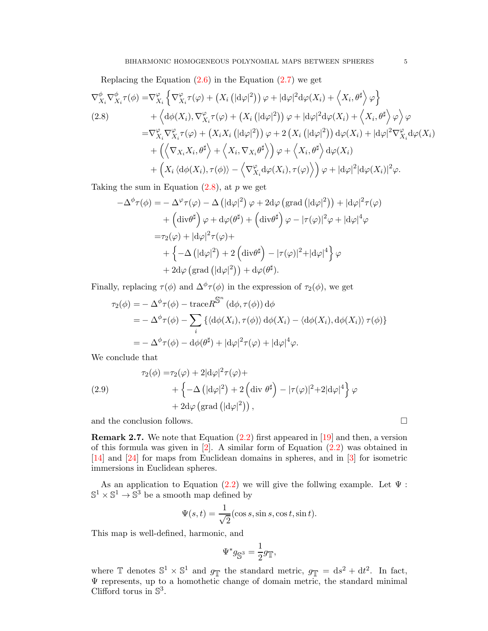Replacing the Equation  $(2.6)$  in the Equation  $(2.7)$  we get

<span id="page-4-0"></span>
$$
\nabla_{X_i}^{\phi} \nabla_{X_i}^{\phi} \tau(\phi) = \nabla_{X_i}^{\varphi} \left\{ \nabla_{X_i}^{\varphi} \tau(\varphi) + \left( X_i \left( |d\varphi|^2 \right) \right) \varphi + |d\varphi|^2 d\varphi(X_i) + \left\langle X_i, \theta^{\sharp} \right\rangle \varphi \right\} \n+ \left\langle d\phi(X_i), \nabla_{X_i}^{\varphi} \tau(\varphi) + \left( X_i \left( |d\varphi|^2 \right) \right) \varphi + |d\varphi|^2 d\varphi(X_i) + \left\langle X_i, \theta^{\sharp} \right\rangle \varphi \right\rangle \varphi \n= \nabla_{X_i}^{\varphi} \nabla_{X_i}^{\varphi} \tau(\varphi) + \left( X_i X_i \left( |d\varphi|^2 \right) \right) \varphi + 2 \left( X_i \left( |d\varphi|^2 \right) \right) d\varphi(X_i) + |d\varphi|^2 \nabla_{X_i}^{\varphi} d\varphi(X_i) \n+ \left( \left\langle \nabla_{X_i} X_i, \theta^{\sharp} \right\rangle + \left\langle X_i, \nabla_{X_i} \theta^{\sharp} \right\rangle \right) \varphi + \left\langle X_i, \theta^{\sharp} \right\rangle d\varphi(X_i) \n+ \left( X_i \left\langle d\phi(X_i), \tau(\phi) \right\rangle - \left\langle \nabla_{X_i}^{\varphi} d\varphi(X_i), \tau(\varphi) \right\rangle \right) \varphi + |d\varphi|^2 |d\varphi(X_i)|^2 \varphi.
$$

Taking the sum in Equation  $(2.8)$ , at p we get

$$
-\Delta^{\phi}\tau(\phi) = -\Delta^{\varphi}\tau(\varphi) - \Delta \left(|d\varphi|^2\right)\varphi + 2d\varphi \left(\text{grad}\left(|d\varphi|^2\right)\right) + |d\varphi|^2\tau(\varphi)
$$

$$
+\left(\text{div}\theta^{\sharp}\right)\varphi + d\varphi(\theta^{\sharp}) + \left(\text{div}\theta^{\sharp}\right)\varphi - |\tau(\varphi)|^2\varphi + |d\varphi|^4\varphi
$$

$$
=\tau_2(\varphi) + |d\varphi|^2\tau(\varphi) +
$$

$$
+\left\{-\Delta \left(|d\varphi|^2\right) + 2\left(\text{div}\theta^{\sharp}\right) - |\tau(\varphi)|^2 + |d\varphi|^4\right\}\varphi
$$

$$
+ 2d\varphi \left(\text{grad}\left(|d\varphi|^2\right)\right) + d\varphi(\theta^{\sharp}).
$$

Finally, replacing  $\tau(\phi)$  and  $\Delta^{\phi}\tau(\phi)$  in the expression of  $\tau_2(\phi)$ , we get

$$
\tau_2(\phi) = -\Delta^{\phi}\tau(\phi) - \text{trace}R^{\mathbb{S}^n}(\text{d}\phi, \tau(\phi))\,\text{d}\phi
$$
  
=  $-\Delta^{\phi}\tau(\phi) - \sum_i \left\{ \langle \text{d}\phi(X_i), \tau(\phi) \rangle \text{d}\phi(X_i) - \langle \text{d}\phi(X_i), \text{d}\phi(X_i) \rangle \tau(\phi) \right\}$   
=  $-\Delta^{\phi}\tau(\phi) - \text{d}\phi(\theta^{\sharp}) + |\text{d}\phi|^2 \tau(\phi) + |\text{d}\phi|^4 \phi.$ 

We conclude that

<span id="page-4-1"></span>(2.9)  
\n
$$
\tau_2(\phi) = \tau_2(\varphi) + 2|\mathrm{d}\varphi|^2 \tau(\varphi) +
$$
\n
$$
+ \left\{-\Delta \left(|\mathrm{d}\varphi|^2\right) + 2\left(\mathrm{div} \theta^{\sharp}\right) - |\tau(\varphi)|^2 + 2|\mathrm{d}\varphi|^4\right\} \varphi
$$
\n
$$
+ 2\mathrm{d}\varphi \left(\mathrm{grad} \left(|\mathrm{d}\varphi|^2\right)\right),
$$

and the conclusion follows.  $\hfill \square$ 

**Remark 2.7.** We note that Equation  $(2.2)$  first appeared in  $[19]$  and then, a version of this formula was given in [\[2\]](#page-34-19). A similar form of Equation [\(2.2\)](#page-3-6) was obtained in [\[14\]](#page-34-20) and [\[24\]](#page-35-0) for maps from Euclidean domains in spheres, and in [\[3\]](#page-34-16) for isometric immersions in Euclidean spheres.

As an application to Equation [\(2.2\)](#page-3-6) we will give the follwing example. Let  $\Psi$ :  $\mathbb{S}^1 \times \mathbb{S}^1 \to \mathbb{S}^3$  be a smooth map defined by

$$
\Psi(s,t) = \frac{1}{\sqrt{2}}(\cos s, \sin s, \cos t, \sin t).
$$

This map is well-defined, harmonic, and

$$
\Psi^*g_{\mathbb{S}^3}=\frac{1}{2}g_{\mathbb{T}},
$$

where  $\mathbb{T}$  denotes  $\mathbb{S}^1 \times \mathbb{S}^1$  and  $g_{\mathbb{T}}$  the standard metric,  $g_{\mathbb{T}} = ds^2 + dt^2$ . In fact, Ψ represents, up to a homothetic change of domain metric, the standard minimal Clifford torus in  $\mathbb{S}^3$ .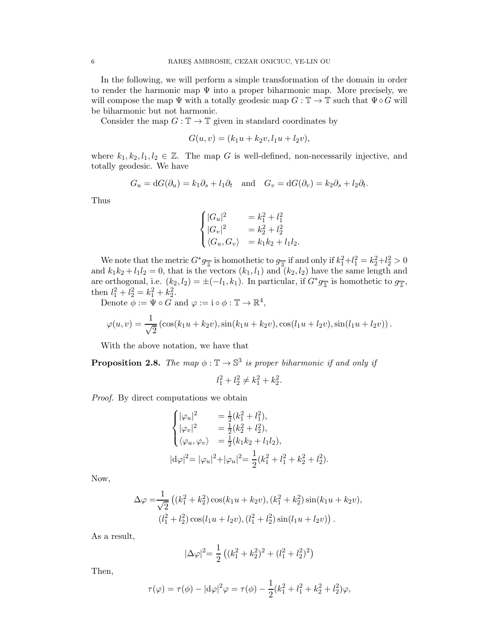In the following, we will perform a simple transformation of the domain in order to render the harmonic map  $\Psi$  into a proper biharmonic map. More precisely, we will compose the map  $\Psi$  with a totally geodesic map  $G : \mathbb{T} \to \mathbb{T}$  such that  $\Psi \circ G$  will be biharmonic but not harmonic.

Consider the map  $G: \mathbb{T} \to \mathbb{T}$  given in standard coordinates by

$$
G(u, v) = (k_1u + k_2v, l_1u + l_2v),
$$

where  $k_1, k_2, l_1, l_2 \in \mathbb{Z}$ . The map G is well-defined, non-necessarily injective, and totally geodesic. We have

$$
G_u = dG(\partial_u) = k_1 \partial_s + l_1 \partial_t \quad \text{and} \quad G_v = dG(\partial_v) = k_2 \partial_s + l_2 \partial_t.
$$

Thus

$$
\begin{cases}\n|G_u|^2 &= k_1^2 + l_1^2 \\
|G_v|^2 &= k_2^2 + l_2^2 \\
\langle G_u, G_v \rangle &= k_1 k_2 + l_1 l_2.\n\end{cases}
$$

We note that the metric  $G^*g_{\mathbb{T}}$  is homothetic to  $g_{\mathbb{T}}$  if and only if  $k_1^2+l_1^2=k_2^2+l_2^2>0$ and  $k_1k_2 + l_1l_2 = 0$ , that is the vectors  $(k_1, l_1)$  and  $(k_2, l_2)$  have the same length and are orthogonal, i.e.  $(k_2, l_2) = \pm(-l_1, k_1)$ . In particular, if  $G^*g_{\mathbb{T}}$  is homothetic to  $g_{\mathbb{T}}$ , then  $l_1^2 + l_2^2 = k_1^2 + k_2^2$ .

Denote  $\phi := \Psi \circ G$  and  $\varphi := i \circ \phi : \mathbb{T} \to \mathbb{R}^4$ ,

$$
\varphi(u,v) = \frac{1}{\sqrt{2}} \left( \cos(k_1 u + k_2 v), \sin(k_1 u + k_2 v), \cos(l_1 u + l_2 v), \sin(l_1 u + l_2 v) \right).
$$

With the above notation, we have that

<span id="page-5-0"></span>**Proposition 2.8.** The map  $\phi : \mathbb{T} \to \mathbb{S}^3$  is proper biharmonic if and only if

$$
l_1^2 + l_2^2 \neq k_1^2 + k_2^2.
$$

*Proof.* By direct computations we obtain

$$
\begin{cases}\n|\varphi_u|^2 &= \frac{1}{2}(k_1^2 + l_1^2), \\
|\varphi_v|^2 &= \frac{1}{2}(k_2^2 + l_2^2), \\
\langle \varphi_u, \varphi_v \rangle &= \frac{1}{2}(k_1 k_2 + l_1 l_2), \\
|d\varphi|^2 = |\varphi_u|^2 + |\varphi_u|^2 = \frac{1}{2}(k_1^2 + l_1^2 + k_2^2 + l_2^2).\n\end{cases}
$$

Now,

$$
\Delta \varphi = \frac{1}{\sqrt{2}} \left( (k_1^2 + k_2^2) \cos(k_1 u + k_2 v), (k_1^2 + k_2^2) \sin(k_1 u + k_2 v), (l_1^2 + l_2^2) \cos(l_1 u + l_2 v), (l_1^2 + l_2^2) \sin(l_1 u + l_2 v) \right).
$$

As a result,

$$
|\Delta \varphi|^2 = \frac{1}{2} \left( (k_1^2 + k_2^2)^2 + (l_1^2 + l_2^2)^2 \right)
$$

Then,

$$
\tau(\varphi) = \tau(\phi) - |\mathrm{d}\varphi|^2 \varphi = \tau(\phi) - \frac{1}{2}(k_1^2 + l_1^2 + k_2^2 + l_2^2)\varphi,
$$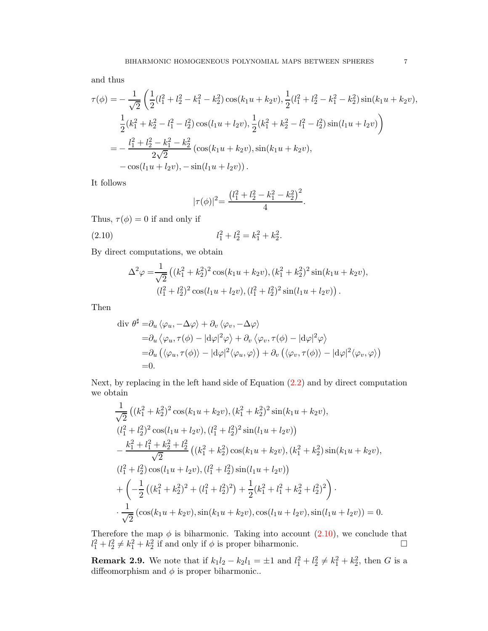and thus

$$
\tau(\phi) = -\frac{1}{\sqrt{2}} \left( \frac{1}{2} (l_1^2 + l_2^2 - k_1^2 - k_2^2) \cos(k_1 u + k_2 v), \frac{1}{2} (l_1^2 + l_2^2 - k_1^2 - k_2^2) \sin(k_1 u + k_2 v), \frac{1}{2} (k_1^2 + k_2^2 - l_1^2 - l_2^2) \cos(l_1 u + l_2 v), \frac{1}{2} (k_1^2 + k_2^2 - l_1^2 - l_2^2) \sin(l_1 u + l_2 v) \right)
$$
  
= 
$$
-\frac{l_1^2 + l_2^2 - k_1^2 - k_2^2}{2\sqrt{2}} (\cos(k_1 u + k_2 v), \sin(k_1 u + k_2 v), \sin(k_1 u + k_2 v), -\cos(l_1 u + l_2 v), -\sin(l_1 u + l_2 v)).
$$

It follows

<span id="page-6-0"></span>
$$
|\tau(\phi)|^2 = \frac{(l_1^2 + l_2^2 - k_1^2 - k_2^2)^2}{4}.
$$

Thus,  $\tau(\phi) = 0$  if and only if

(2.10) 
$$
l_1^2 + l_2^2 = k_1^2 + k_2^2.
$$

By direct computations, we obtain

$$
\Delta^2 \varphi = \frac{1}{\sqrt{2}} \left( (k_1^2 + k_2^2)^2 \cos(k_1 u + k_2 v), (k_1^2 + k_2^2)^2 \sin(k_1 u + k_2 v), (l_1^2 + l_2^2)^2 \cos(l_1 u + l_2 v), (l_1^2 + l_2^2)^2 \sin(l_1 u + l_2 v) \right).
$$

Then

$$
\begin{split} \operatorname{div} \, & \theta^{\sharp} = & \partial_{u} \left\langle \varphi_{u}, -\Delta \varphi \right\rangle + \partial_{v} \left\langle \varphi_{v}, -\Delta \varphi \right\rangle \\ &= & \partial_{u} \left\langle \varphi_{u}, \tau(\phi) - |\mathrm{d}\varphi|^{2} \varphi \right\rangle + \partial_{v} \left\langle \varphi_{v}, \tau(\phi) - |\mathrm{d}\varphi|^{2} \varphi \right\rangle \\ &= & \partial_{u} \left( \left\langle \varphi_{u}, \tau(\phi) \right\rangle - |\mathrm{d}\varphi|^{2} \left\langle \varphi_{u}, \varphi \right\rangle \right) + \partial_{v} \left( \left\langle \varphi_{v}, \tau(\phi) \right\rangle - |\mathrm{d}\varphi|^{2} \left\langle \varphi_{v}, \varphi \right\rangle \right) \\ &= & 0. \end{split}
$$

Next, by replacing in the left hand side of Equation [\(2.2\)](#page-3-6) and by direct computation we obtain

$$
\frac{1}{\sqrt{2}} ((k_1^2 + k_2^2)^2 \cos(k_1 u + k_2 v), (k_1^2 + k_2^2)^2 \sin(k_1 u + k_2 v),
$$
  
\n
$$
(l_1^2 + l_2^2)^2 \cos(l_1 u + l_2 v), (l_1^2 + l_2^2)^2 \sin(l_1 u + l_2 v))
$$
  
\n
$$
-\frac{k_1^2 + l_1^2 + k_2^2 + l_2^2}{\sqrt{2}} ((k_1^2 + k_2^2) \cos(k_1 u + k_2 v), (k_1^2 + k_2^2) \sin(k_1 u + k_2 v),
$$
  
\n
$$
(l_1^2 + l_2^2) \cos(l_1 u + l_2 v), (l_1^2 + l_2^2) \sin(l_1 u + l_2 v))
$$
  
\n
$$
+\left(-\frac{1}{2} ((k_1^2 + k_2^2)^2 + (l_1^2 + l_2^2)^2) + \frac{1}{2} (k_1^2 + l_1^2 + k_2^2 + l_2^2)^2\right).
$$
  
\n
$$
\cdot \frac{1}{\sqrt{2}} (\cos(k_1 u + k_2 v), \sin(k_1 u + k_2 v), \cos(l_1 u + l_2 v), \sin(l_1 u + l_2 v)) = 0.
$$

Therefore the map  $\phi$  is biharmonic. Taking into account [\(2.10\)](#page-6-0), we conclude that  $l_1^2 + l_2^2 \neq k_1^2 + k_2^2$  if and only if  $\phi$  is proper biharmonic.

**Remark 2.9.** We note that if  $k_1 l_2 - k_2 l_1 = \pm 1$  and  $l_1^2 + l_2^2 \neq k_1^2 + k_2^2$ , then G is a diffeomorphism and  $\phi$  is proper biharmonic..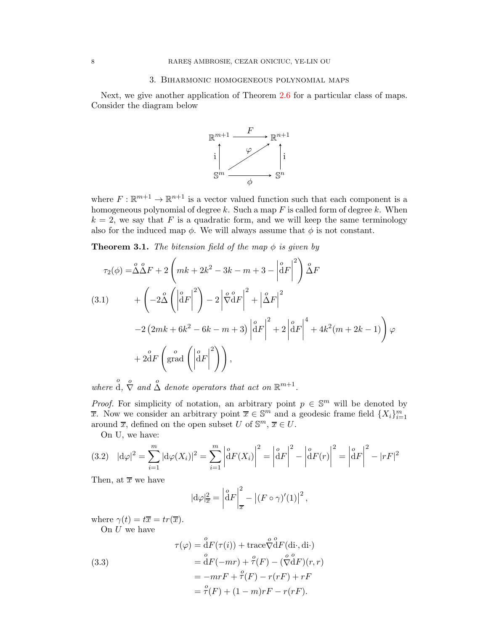## 3. Biharmonic homogeneous polynomial maps

Next, we give another application of Theorem [2.6](#page-3-0) for a particular class of maps. Consider the diagram below



where  $F: \mathbb{R}^{m+1} \to \mathbb{R}^{n+1}$  is a vector valued function such that each component is a homogeneous polynomial of degree  $k$ . Such a map  $F$  is called form of degree  $k$ . When  $k = 2$ , we say that F is a quadratic form, and we will keep the same terminology also for the induced map  $\phi$ . We will always assume that  $\phi$  is not constant.

<span id="page-7-0"></span>**Theorem 3.1.** *The bitension field of the map*  $\phi$  *is given by* 

<span id="page-7-1"></span>
$$
\tau_2(\phi) = \stackrel{o}{\Delta} \stackrel{o}{\Delta} F + 2 \left( mk + 2k^2 - 3k - m + 3 - \left| \stackrel{o}{d} F \right|^2 \right) \stackrel{o}{\Delta} F
$$
  
(3.1) 
$$
+ \left( -2 \stackrel{o}{\Delta} \left( \left| \stackrel{o}{d} F \right|^2 \right) - 2 \left| \stackrel{o}{\nabla} \stackrel{o}{d} F \right|^2 + \left| \stackrel{o}{\Delta} F \right|^2
$$

$$
- 2 \left( 2mk + 6k^2 - 6k - m + 3 \right) \left| \stackrel{o}{d} F \right|^2 + 2 \left| \stackrel{o}{d} F \right|^4 + 4k^2 (m + 2k - 1) \right) \varphi
$$

$$
+ 2 \stackrel{o}{d} F \left( \operatorname{grad} \left( \left| \stackrel{o}{d} F \right|^2 \right) \right),
$$

where  $\stackrel{o}{d}$ ,  $\stackrel{o}{\nabla}$  and  $\stackrel{o}{\Delta}$  denote operators that act on  $\mathbb{R}^{m+1}$ .

*Proof.* For simplicity of notation, an arbitrary point  $p \in \mathbb{S}^m$  will be denoted by  $\overline{x}$ . Now we consider an arbitrary point  $\overline{x} \in \mathbb{S}^m$  and a geodesic frame field  $\{X_i\}_{i=1}^m$ around  $\overline{x}$ , defined on the open subset U of  $\mathbb{S}^m$ ,  $\overline{x} \in U$ .

On U, we have:

$$
(3.2) \quad |\mathrm{d}\varphi|^2 = \sum_{i=1}^m |\mathrm{d}\varphi(X_i)|^2 = \sum_{i=1}^m \left| \mathrm{d}F(X_i) \right|^2 = \left| \mathrm{d}F \right|^2 - \left| \mathrm{d}F(r) \right|^2 = \left| \mathrm{d}F \right|^2 - |rF|^2
$$

Then, at  $\overline{x}$  we have

$$
|\mathrm{d}\varphi|_{\overline{x}}^2 = \left|\mathrm{d}F\right|_{\overline{x}}^2 - \left|(F \circ \gamma)'(1)\right|^2,
$$

where  $\gamma(t) = t\overline{x} = tr(\overline{x})$ .

On  $U$  we have

(3.3)  
\n
$$
\tau(\varphi) = \overset{o}{\mathrm{d}}F(\tau(i)) + \text{trace}\overset{o}{\nabla}\overset{o}{\mathrm{d}}F(\text{di}\cdot,\text{di}\cdot) \n= \overset{o}{\mathrm{d}}F(-mr) + \overset{o}{\tau}(F) - (\overset{o}{\nabla}\overset{o}{\mathrm{d}}F)(r,r) \n= -mrF + \overset{o}{\tau}(F) - r(rF) + rF \n= \overset{o}{\tau}(F) + (1 - m)rF - r(rF).
$$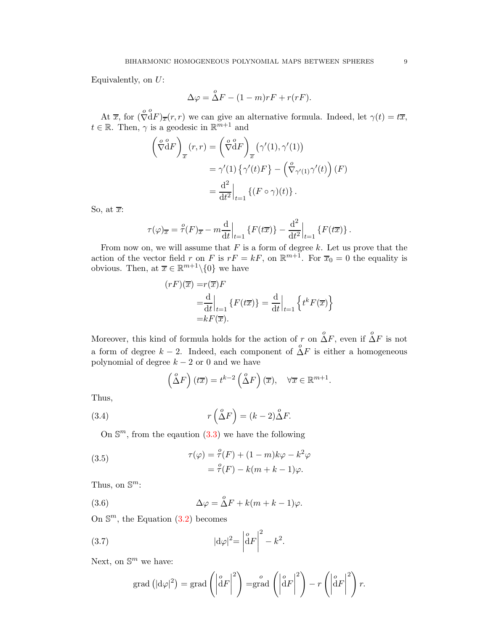Equivalently, on  $U$ :

$$
\Delta \varphi = \overset{o}{\Delta} F - (1 - m)rF + r(rF).
$$

At  $\overline{x}$ , for  $\left(\sqrt{\frac{c}{v}}\right)$ ∇  $\overset{o}{\mathrm{d}}F)_{\overline{x}}(r,r)$  we can give an alternative formula. Indeed, let  $\gamma(t) = t\overline{x}$ ,  $t \in \mathbb{R}$ . Then,  $\gamma$  is a geodesic in  $\mathbb{R}^{m+1}$  and

$$
\left(\overset{\circ}{\nabla}^{\alpha}F\right)_{\overline{x}}(r,r) = \left(\overset{\circ}{\nabla}^{\alpha}F\right)_{\overline{x}}\left(\gamma'(1),\gamma'(1)\right)
$$

$$
= \gamma'(1)\left\{\gamma'(t)F\right\} - \left(\overset{\circ}{\nabla}_{\gamma'(1)}\gamma'(t)\right)(F)
$$

$$
= \frac{\mathrm{d}^2}{\mathrm{d}t^2}\Big|_{t=1}\left\{(F\circ\gamma)(t)\right\}.
$$

So, at  $\overline{x}$ :

$$
\tau(\varphi)_{\overline{x}} = \frac{\varphi}{\tau}(F)_{\overline{x}} - m \frac{\mathrm{d}}{\mathrm{d}t} \Big|_{t=1} \left\{ F(t\overline{x}) \right\} - \frac{\mathrm{d}^2}{\mathrm{d}t^2} \Big|_{t=1} \left\{ F(t\overline{x}) \right\}.
$$

From now on, we will assume that  $F$  is a form of degree  $k$ . Let us prove that the action of the vector field r on F is  $rF = kF$ , on  $\mathbb{R}^{m+1}$ . For  $\overline{x}_0 = 0$  the equality is obvious. Then, at  $\bar{x} \in \mathbb{R}^{m+1} \setminus \{0\}$  we have

$$
(rF)(\overline{x}) = r(\overline{x})F
$$
  
=  $\frac{d}{dt}\Big|_{t=1}$  {F(t\overline{x})} =  $\frac{d}{dt}\Big|_{t=1}$  {t<sup>k</sup>F(\overline{x})}  
= kF(\overline{x}).

Moreover, this kind of formula holds for the action of r on  $\stackrel{o}{\Delta}F$ , even if  $\stackrel{o}{\Delta}F$  is not a form of degree  $k-2$ . Indeed, each component of  $\Delta F$  is either a homogeneous polynomial of degree  $k - 2$  or 0 and we have

<span id="page-8-0"></span>
$$
\left(\overset{o}{\Delta}F\right)(t\overline{x}) = t^{k-2}\left(\overset{o}{\Delta}F\right)(\overline{x}), \quad \forall \overline{x} \in \mathbb{R}^{m+1}.
$$

Thus,

(3.4) 
$$
r\left(\overset{o}{\Delta}F\right) = (k-2)\overset{o}{\Delta}F.
$$

On  $\mathbb{S}^m$ , from the equation  $(3.3)$  we have the following

(3.5) 
$$
\tau(\varphi) = \frac{\varphi}{\tau}(F) + (1 - m)k\varphi - k^2\varphi = \frac{\varphi}{\tau}(F) - k(m + k - 1)\varphi.
$$

Thus, on  $\mathbb{S}^m$ :

(3.6) 
$$
\Delta \varphi = \overset{o}{\Delta} F + k(m + k - 1)\varphi.
$$

On  $\mathbb{S}^m$ , the Equation  $(3.2)$  becomes

(3.7) 
$$
|\mathrm{d}\varphi|^2 = \left|\mathrm{d}F\right|^2 - k^2.
$$

Next, on  $\mathbb{S}^m$  we have:

<span id="page-8-2"></span><span id="page-8-1"></span>
$$
\operatorname{grad} \left( |\mathrm{d}\varphi|^2 \right) = \operatorname{grad} \left( \left| \mathrm{d}F \right|^2 \right) = \operatorname{grad} \left( \left| \mathrm{d}F \right|^2 \right) - r \left( \left| \mathrm{d}F \right|^2 \right) r.
$$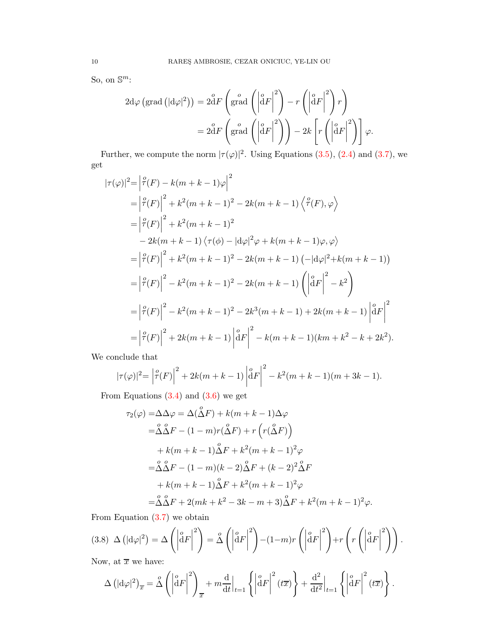So, on  $\mathbb{S}^m$ :

$$
2d\varphi \left(\text{grad} \left(|d\varphi|^2\right)\right) = 2\overset{o}{d}F\left(\text{grad}\left(\left|\overset{o}{d}F\right|^2\right) - r\left(\left|\overset{o}{d}F\right|^2\right)r\right)
$$

$$
= 2\overset{o}{d}F\left(\text{grad}\left(\left|\overset{o}{d}F\right|^2\right)\right) - 2k\left[r\left(\left|\overset{o}{d}F\right|^2\right)\right]\varphi.
$$

Further, we compute the norm  $|\tau(\varphi)|^2$ . Using Equations [\(3.5\)](#page-8-0), [\(2.4\)](#page-3-2) and [\(3.7\)](#page-8-1), we get

$$
|\tau(\varphi)|^{2} = \left| \frac{\varphi(F)}{\tau(F)} - k(m+k-1)\varphi \right|^{2}
$$
  
\n
$$
= \left| \frac{\varphi(F)}{\tau(F)} \right|^{2} + k^{2}(m+k-1)^{2} - 2k(m+k-1)\left\langle \frac{\varphi(F)}{\tau(F)}, \varphi \right\rangle
$$
  
\n
$$
= \left| \frac{\varphi(F)}{\tau(F)} \right|^{2} + k^{2}(m+k-1)^{2}
$$
  
\n
$$
- 2k(m+k-1)\left\langle \frac{\tau(\phi)}{\tau(F)} - \frac{d\varphi}{2} + k(m+k-1)\varphi, \varphi \right\rangle
$$
  
\n
$$
= \left| \frac{\varphi(F)}{\tau(F)} \right|^{2} + k^{2}(m+k-1)^{2} - 2k(m+k-1)\left( -\left| \frac{d\varphi}{2} + k(m+k-1) \right| \right)
$$
  
\n
$$
= \left| \frac{\varphi(F)}{\tau(F)} \right|^{2} - k^{2}(m+k-1)^{2} - 2k^{3}(m+k-1) + 2k(m+k-1)\left| \frac{d\varphi}{2} \right|^{2}
$$
  
\n
$$
= \left| \frac{\varphi(F)}{\tau(F)} \right|^{2} + 2k(m+k-1)\left| \frac{d\varphi}{2} \right|^{2} - k(m+k-1)(km+k^{2} - k + 2k^{2}).
$$

We conclude that

$$
|\tau(\varphi)|^2 = \left|\hat{\tau}(F)\right|^2 + 2k(m+k-1)\left|\hat{d}F\right|^2 - k^2(m+k-1)(m+3k-1).
$$

From Equations  $(3.4)$  and  $(3.6)$  we get

$$
\tau_2(\varphi) = \Delta \Delta \varphi = \Delta (\overset{o}{\Delta} F) + k(m + k - 1) \Delta \varphi
$$
  
\n
$$
= \overset{o}{\Delta} \overset{o}{\Delta} F - (1 - m)r(\overset{o}{\Delta} F) + r(r(\overset{o}{\Delta} F))
$$
  
\n
$$
+ k(m + k - 1) \overset{o}{\Delta} F + k^2(m + k - 1)^2 \varphi
$$
  
\n
$$
= \overset{o}{\Delta} \overset{o}{\Delta} F - (1 - m)(k - 2) \overset{o}{\Delta} F + (k - 2)^2 \overset{o}{\Delta} F
$$
  
\n
$$
+ k(m + k - 1) \overset{o}{\Delta} F + k^2(m + k - 1)^2 \varphi
$$
  
\n
$$
= \overset{o}{\Delta} \overset{o}{\Delta} F + 2(mk + k^2 - 3k - m + 3) \overset{o}{\Delta} F + k^2(m + k - 1)^2 \varphi.
$$

From Equation  $(3.7)$  we obtain

<span id="page-9-0"></span>
$$
(3.8)\ \Delta\left(|d\varphi|^2\right) = \Delta\left(\left|\overset{o}{d}F\right|^2\right) = \overset{o}{\Delta}\left(\left|\overset{o}{d}F\right|^2\right) - (1-m)r\left(\left|\overset{o}{d}F\right|^2\right) + r\left(r\left(\left|\overset{o}{d}F\right|^2\right)\right).
$$

Now, at  $\overline{x}$  we have:

$$
\Delta \left( |\mathrm{d}\varphi|^2 \right)_{\overline{x}} = \hat{\Delta} \left( \left| \mathrm{d}F \right|^2 \right)_{\overline{x}} + m \frac{\mathrm{d}}{\mathrm{d}t} \Big|_{t=1} \left\{ \left| \mathrm{d}F \right|^2 (t\overline{x}) \right\} + \frac{\mathrm{d}^2}{\mathrm{d}t^2} \Big|_{t=1} \left\{ \left| \mathrm{d}F \right|^2 (t\overline{x}) \right\}.
$$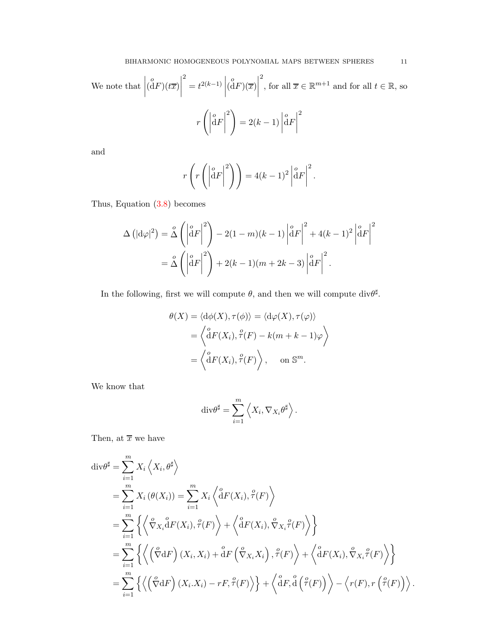We note that 
$$
\left| \begin{pmatrix} \mathbf{0} \\ \mathbf{d}F \end{pmatrix} (t\overline{x}) \right|^2 = t^{2(k-1)} \left| \begin{pmatrix} \mathbf{0} \\ \mathbf{d}F \end{pmatrix} (\overline{x}) \right|^2
$$
, for all  $\overline{x} \in \mathbb{R}^{m+1}$  and for all  $t \in \mathbb{R}$ , so 
$$
r \left( \left| \frac{\mathbf{0} \mathbf{d}F}{\mathbf{d}F} \right|^2 \right) = 2(k-1) \left| \frac{\mathbf{0} \mathbf{d}F}{\mathbf{d}F} \right|^2
$$

and

$$
r\left(r\left(\left|\overset{\circ}{\mathrm{d}}F\right|^2\right)\right) = 4(k-1)^2 \left|\overset{\circ}{\mathrm{d}}F\right|^2.
$$

Thus, Equation [\(3.8\)](#page-9-0) becomes

$$
\Delta \left( |\mathrm{d}\varphi|^2 \right) = \mathring{\Delta} \left( \left| \mathrm{d}F \right|^2 \right) - 2(1-m)(k-1) \left| \mathrm{d}F \right|^2 + 4(k-1)^2 \left| \mathrm{d}F \right|^2
$$

$$
= \mathring{\Delta} \left( \left| \mathrm{d}F \right|^2 \right) + 2(k-1)(m+2k-3) \left| \mathrm{d}F \right|^2.
$$

In the following, first we will compute  $\theta$ , and then we will compute div $\theta^{\sharp}$ .

$$
\theta(X) = \langle d\phi(X), \tau(\phi) \rangle = \langle d\phi(X), \tau(\varphi) \rangle
$$

$$
= \left\langle \stackrel{o}{d}F(X_i), \stackrel{o}{\tau}(F) - k(m + k - 1)\varphi \right\rangle
$$

$$
= \left\langle \stackrel{o}{d}F(X_i), \stackrel{o}{\tau}(F) \right\rangle, \quad \text{on } \mathbb{S}^m.
$$

We know that

$$
\mathrm{div}\theta^{\sharp} = \sum_{i=1}^{m} \left\langle X_i, \nabla_{X_i} \theta^{\sharp} \right\rangle.
$$

Then, at  $\overline{x}$  we have

$$
\begin{split}\n\text{div}\theta^{\sharp} &= \sum_{i=1}^{m} X_{i} \left\langle X_{i}, \theta^{\sharp} \right\rangle \\
&= \sum_{i=1}^{m} X_{i} \left( \theta(X_{i}) \right) = \sum_{i=1}^{m} X_{i} \left\langle \left\langle \mathbf{d}F(X_{i}), \hat{\tau}(F) \right\rangle \\
&= \sum_{i=1}^{m} \left\{ \left\langle \nabla_{X_{i}} \mathbf{d}F(X_{i}), \hat{\tau}(F) \right\rangle + \left\langle \mathbf{d}F(X_{i}), \nabla_{X_{i}} \hat{\tau}(F) \right\rangle \right\} \\
&= \sum_{i=1}^{m} \left\{ \left\langle \left( \nabla \mathbf{d}F \right) (X_{i}, X_{i}) + \left\langle \mathbf{d}F \left( \nabla_{X_{i}} X_{i} \right), \hat{\tau}(F) \right\rangle + \left\langle \mathbf{d}F(X_{i}), \nabla_{X_{i}} \hat{\tau}(F) \right\rangle \right\} \\
&= \sum_{i=1}^{m} \left\{ \left\langle \left( \nabla \mathbf{d}F \right) (X_{i}, X_{i}) - rF, \hat{\tau}(F) \right\rangle \right\} + \left\langle \left\langle \mathbf{d}F, \mathbf{d} \left( \hat{\tau}(F) \right) \right\rangle - \left\langle r(F), r \left( \hat{\tau}(F) \right) \right\rangle \right.\n\end{split}
$$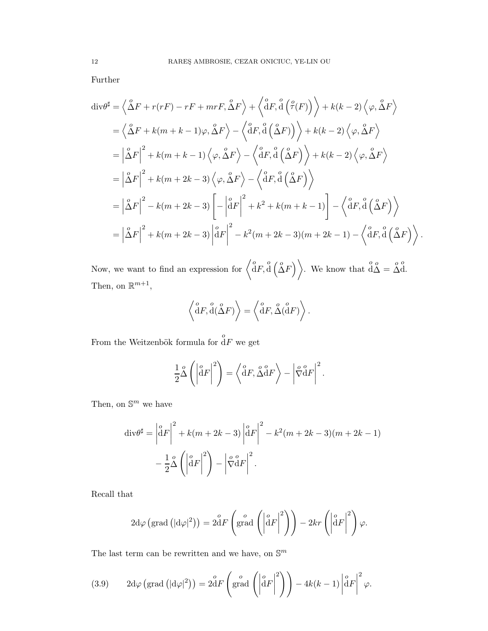Further

$$
\begin{split}\n\text{div}\theta^{\sharp} &= \left\langle \Delta F + r(rF) - rF + mrF, \Delta F \right\rangle + \left\langle \frac{\partial}{\partial F}, \frac{\partial}{\partial} \left( \frac{\rho}{f}(F) \right) \right\rangle + k(k-2) \left\langle \varphi, \frac{\partial}{\partial F} \right\rangle \\
&= \left\langle \Delta F + k(m+k-1)\varphi, \frac{\partial}{\partial F} \right\rangle - \left\langle \frac{\partial}{\partial F}, \frac{\partial}{\partial} \left( \frac{\partial}{\partial F} \right) \right\rangle + k(k-2) \left\langle \varphi, \frac{\partial}{\partial F} \right\rangle \\
&= \left| \Delta F \right|^2 + k(m+k-1) \left\langle \varphi, \Delta F \right\rangle - \left\langle \frac{\partial}{\partial F}, \frac{\partial}{\partial} \left( \Delta F \right) \right\rangle + k(k-2) \left\langle \varphi, \Delta F \right\rangle \\
&= \left| \Delta F \right|^2 + k(m+2k-3) \left\langle \varphi, \Delta F \right\rangle - \left\langle \frac{\partial}{\partial F}, \frac{\partial}{\partial} \left( \Delta F \right) \right\rangle \\
&= \left| \Delta F \right|^2 - k(m+2k-3) \left[ -\left| \frac{\partial}{\partial F} \right|^2 + k^2 + k(m+k-1) \right] - \left\langle \frac{\partial}{\partial F}, \frac{\partial}{\partial} \left( \Delta F \right) \right\rangle \\
&= \left| \Delta F \right|^2 + k(m+2k-3) \left| \frac{\partial}{\partial F} \right|^2 - k^2(m+2k-3)(m+2k-1) - \left\langle \frac{\partial}{\partial F}, \frac{\partial}{\partial} \left( \Delta F \right) \right\rangle.\n\end{split}
$$

Now, we want to find an expression for  $\langle \overset{o}{d}F, \overset{o}{d}(\overset{o}{\Delta}F) \rangle$ . We know that  $\overset{o}{d\Delta} = \overset{o}{\Delta}$ o d. Then, on  $\mathbb{R}^{m+1}$ ,

$$
\left\langle \overset{o}{\mathrm{d}}F, \overset{o}{\mathrm{d}}(\overset{o}{\Delta}F) \right\rangle = \left\langle \overset{o}{\mathrm{d}}F, \overset{o}{\Delta}(\overset{o}{\mathrm{d}}F) \right\rangle.
$$

From the Weitzenbök formula for  $\overset{o}{\mathrm{d}}\overline{F}$  we get

$$
\frac{1}{2}\overset{o}{\Delta}\left(\left|\overset{o}{\mathrm{d}}F\right|^2\right) = \left\langle \overset{o}{\mathrm{d}}F, \overset{o}{\Delta}\overset{o}{\mathrm{d}}F \right\rangle - \left|\overset{o}{\nabla}\overset{o}{\mathrm{d}}F\right|^2.
$$

Then, on  $\mathbb{S}^m$  we have

$$
\operatorname{div} \theta^{\sharp} = \left| \stackrel{\circ}{\mathrm{d}} F \right|^2 + k(m + 2k - 3) \left| \stackrel{\circ}{\mathrm{d}} F \right|^2 - k^2 (m + 2k - 3)(m + 2k - 1)
$$

$$
- \frac{1}{2} \stackrel{\circ}{\Delta} \left( \left| \stackrel{\circ}{\mathrm{d}} F \right|^2 \right) - \left| \stackrel{\circ}{\nabla} \stackrel{\circ}{\mathrm{d}} F \right|^2.
$$

Recall that

$$
2d\varphi\left(\text{grad}\left(|d\varphi|^2\right)\right) = 2dF\left(\text{grad}\left(\left|\overset{o}{d}F\right|^2\right)\right) - 2kr\left(\left|\overset{o}{d}F\right|^2\right)\varphi.
$$

The last term can be rewritten and we have, on  $\mathbb{S}^m$ 

(3.9) 
$$
2d\varphi \left(\text{grad}\left(|d\varphi|^2\right)\right) = 2dF\left(\text{grad}\left(\left|\overset{o}{d}F\right|^2\right)\right) - 4k(k-1)\left|\overset{o}{d}F\right|^2\varphi.
$$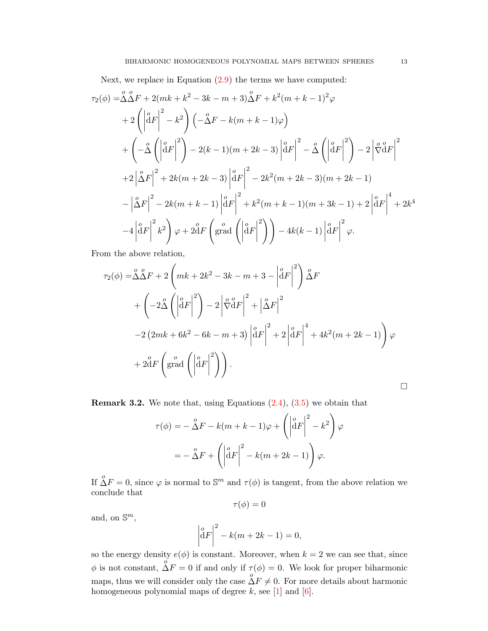Next, we replace in Equation  $(2.9)$  the terms we have computed:

$$
\tau_{2}(\phi) = \Delta \Delta F + 2(mk + k^{2} - 3k - m + 3)\Delta F + k^{2}(m + k - 1)^{2}\varphi
$$
  
+ 
$$
2\left(\left|\frac{a}{dF}\right|^{2} - k^{2}\right)\left(-\Delta F - k(m + k - 1)\varphi\right)
$$
  
+ 
$$
\left(-\Delta \left(\left|\frac{a}{dF}\right|^{2}\right) - 2(k - 1)(m + 2k - 3)\left|\frac{a}{dF}\right|^{2} - \Delta \left(\left|\frac{a}{dF}\right|^{2}\right) - 2\left|\frac{a}{dF}\right|^{2}
$$
  
+ 
$$
2\left|\Delta F\right|^{2} + 2k(m + 2k - 3)\left|\frac{a}{dF}\right|^{2} - 2k^{2}(m + 2k - 3)(m + 2k - 1)
$$
  
- 
$$
\left|\Delta F\right|^{2} - 2k(m + k - 1)\left|\frac{a}{dF}\right|^{2} + k^{2}(m + k - 1)(m + 3k - 1) + 2\left|\frac{a}{dF}\right|^{4} + 2k^{4}
$$
  
- 
$$
4\left|\frac{a}{dF}\right|^{2}k^{2}\right)\varphi + 2\overline{d}F\left(\text{grad}\left(\left|\frac{a}{dF}\right|^{2}\right)\right) - 4k(k - 1)\left|\frac{a}{dF}\right|^{2}\varphi.
$$

From the above relation,

$$
\tau_2(\phi) = \stackrel{o}{\Delta} \stackrel{o}{\Delta} F + 2 \left( mk + 2k^2 - 3k - m + 3 - \left| \stackrel{o}{\stackrel{\partial}{\partial}} F \right|^2 \right) \stackrel{o}{\Delta} F
$$
  
+ 
$$
\left( -2 \stackrel{o}{\Delta} \left( \left| \stackrel{o}{\stackrel{\partial}{\partial}} F \right|^2 \right) - 2 \left| \stackrel{o}{\nabla} \stackrel{o}{\stackrel{\partial}{\partial}} F \right|^2 + \left| \stackrel{o}{\Delta} F \right|^2
$$
  
-2 
$$
(2mk + 6k^2 - 6k - m + 3) \left| \stackrel{o}{\stackrel{\partial}{\partial}} F \right|^2 + 2 \left| \stackrel{o}{\stackrel{\partial}{\partial}} F \right|^4 + 4k^2(m + 2k - 1) \right) \varphi
$$
  
+ 
$$
2 \stackrel{o}{\stackrel{\partial}{\partial}} F \left( \text{grad } \left( \left| \stackrel{o}{\stackrel{\partial}{\partial}} F \right|^2 \right) \right).
$$

**Remark 3.2.** We note that, using Equations  $(2.4)$ ,  $(3.5)$  we obtain that

$$
\tau(\phi) = -\stackrel{o}{\Delta}F - k(m+k-1)\varphi + \left(\left|\stackrel{o}{\mathrm{d}}F\right|^2 - k^2\right)\varphi
$$

$$
= -\stackrel{o}{\Delta}F + \left(\left|\stackrel{o}{\mathrm{d}}F\right|^2 - k(m+2k-1)\right)\varphi.
$$

If  $\stackrel{o}{\Delta}F = 0$ , since  $\varphi$  is normal to  $\mathbb{S}^m$  and  $\tau(\phi)$  is tangent, from the above relation we conclude that

$$
\tau(\phi)=0
$$

and, on  $\mathbb{S}^m$ ,

$$
\left| \overset{o}{\mathrm{d}} F \right|^2 - k(m + 2k - 1) = 0,
$$

so the energy density  $e(\phi)$  is constant. Moreover, when  $k = 2$  we can see that, since  $\phi$  is not constant,  $\stackrel{o}{\Delta}F = 0$  if and only if  $\tau(\phi) = 0$ . We look for proper biharmonic maps, thus we will consider only the case  $\stackrel{o}{\Delta}F \neq 0$ . For more details about harmonic homogeneous polynomial maps of degree  $k$ , see [\[1\]](#page-34-9) and [\[6\]](#page-34-10).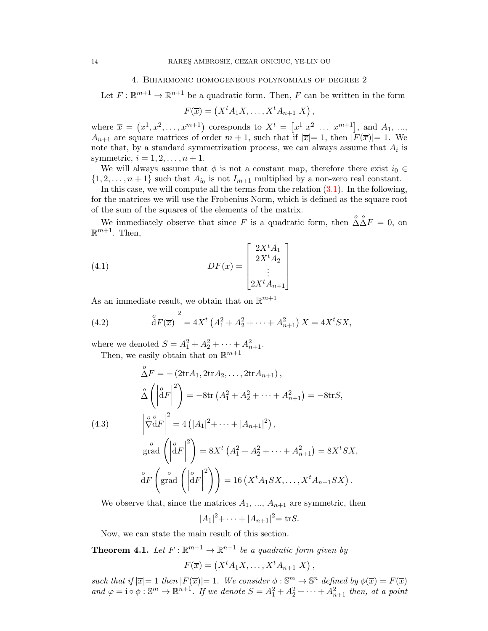## 4. Biharmonic homogeneous polynomials of degree 2

Let  $F: \mathbb{R}^{m+1} \to \mathbb{R}^{n+1}$  be a quadratic form. Then, F can be written in the form

$$
F(\overline{x}) = (X^t A_1 X, \dots, X^t A_{n+1} X),
$$

where  $\bar{x} = (x^1, x^2, \dots, x^{m+1})$  coresponds to  $X^t = [x^1 \ x^2 \ \dots \ x^{m+1}]$ , and  $A_1$ , ...,  $A_{n+1}$  are square matrices of order  $m+1$ , such that if  $|\overline{x}|=1$ , then  $|F(\overline{x})|=1$ . We note that, by a standard symmetrization process, we can always assume that  $A_i$  is symmetric,  $i = 1, 2, ..., n + 1$ .

We will always assume that  $\phi$  is not a constant map, therefore there exist  $i_0 \in$  $\{1, 2, \ldots, n+1\}$  such that  $A_{i_0}$  is not  $I_{m+1}$  multiplied by a non-zero real constant.

In this case, we will compute all the terms from the relation  $(3.1)$ . In the following, for the matrices we will use the Frobenius Norm, which is defined as the square root of the sum of the squares of the elements of the matrix.

We immediately observe that since F is a quadratic form, then  $\Delta \Delta F = 0$ , on  $\mathbb{R}^{m+1}$ . Then,

(4.1) 
$$
DF(\overline{x}) = \begin{bmatrix} 2X^{t}A_{1} \\ 2X^{t}A_{2} \\ \vdots \\ 2X^{t}A_{n+1} \end{bmatrix}
$$

As an immediate result, we obtain that on  $\mathbb{R}^{m+1}$ 

<span id="page-13-1"></span>(4.2) 
$$
\left| \int_{0}^{a} F(\overline{x}) \right|^{2} = 4X^{t} \left( A_{1}^{2} + A_{2}^{2} + \dots + A_{n+1}^{2} \right) X = 4X^{t} SX,
$$

where we denoted  $S = A_1^2 + A_2^2 + \cdots + A_{n+1}^2$ .

Then, we easily obtain that on  $\mathbb{R}^{m+1}$ 

<span id="page-13-2"></span>
$$
\hat{\Delta}F = -(2\text{tr}A_1, 2\text{tr}A_2, ..., 2\text{tr}A_{n+1}),
$$
\n
$$
\hat{\Delta}\left(\left|\overset{\circ}{d}F\right|^2\right) = -8\text{tr}\left(A_1^2 + A_2^2 + \dots + A_{n+1}^2\right) = -8\text{tr}S,
$$
\n(4.3)\n
$$
\left|\overset{\circ}{\nabla}^{\alpha}F\right|^2 = 4\left(|A_1|^2 + \dots + |A_{n+1}|^2\right),
$$
\n
$$
\underset{\text{grad}}{\circ} \left(\left|\overset{\circ}{d}F\right|^2\right) = 8X^t\left(A_1^2 + A_2^2 + \dots + A_{n+1}^2\right) = 8X^tSX,
$$
\n
$$
\overset{\circ}{d}F\left(\text{grad}\left(\left|\overset{\circ}{d}F\right|^2\right)\right) = 16\left(X^tA_1SX, \dots, X^tA_{n+1}SX\right).
$$

We observe that, since the matrices  $A_1, ..., A_{n+1}$  are symmetric, then

 $|A_1|^2$ + · · · +  $|A_{n+1}|^2$  = tr*S*.

Now, we can state the main result of this section.

<span id="page-13-0"></span>**Theorem 4.1.** Let  $F: \mathbb{R}^{m+1} \to \mathbb{R}^{n+1}$  be a quadratic form given by

 $F(\overline{x}) = (X^t A_1 X, \ldots, X^t A_{n+1} X),$ 

*such that if*  $|\overline{x}| = 1$  *then*  $|F(\overline{x})| = 1$ *. We consider*  $\phi : \mathbb{S}^m \to \mathbb{S}^n$  *defined by*  $\phi(\overline{x}) = F(\overline{x})$ and  $\varphi = i \circ \phi : \mathbb{S}^m \to \mathbb{R}^{n+1}$ . If we denote  $S = A_1^2 + A_2^2 + \cdots + A_{n+1}^2$  then, at a point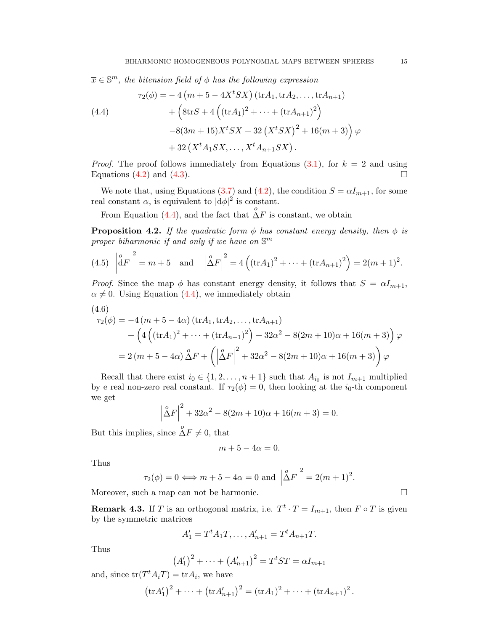$\overline{x} \in \mathbb{S}^m$ , the bitension field of  $\phi$  has the following expression

<span id="page-14-0"></span>(4.4)  
\n
$$
\tau_2(\phi) = -4 \left( m + 5 - 4X^t SX \right) (\text{tr} A_1, \text{tr} A_2, \dots, \text{tr} A_{n+1})
$$
\n
$$
+ \left( 8\text{tr} S + 4 \left( (\text{tr} A_1)^2 + \dots + (\text{tr} A_{n+1})^2 \right) -8(3m + 15)X^t SX + 32 \left( X^t SX \right)^2 + 16(m + 3) \right) \varphi
$$
\n
$$
+ 32 \left( X^t A_1 SX, \dots, X^t A_{n+1} SX \right).
$$

*Proof.* The proof follows immediately from Equations  $(3.1)$ , for  $k = 2$  and using Equations [\(4.2\)](#page-13-1) and [\(4.3\)](#page-13-2).

We note that, using Equations [\(3.7\)](#page-8-1) and [\(4.2\)](#page-13-1), the condition  $S = \alpha I_{m+1}$ , for some real constant  $\alpha$ , is equivalent to  $|d\phi|^2$  is constant.

From Equation [\(4.4\)](#page-14-0), and the fact that  $\stackrel{o}{\Delta}F$  is constant, we obtain

<span id="page-14-1"></span>**Proposition 4.2.** *If the quadratic form*  $\phi$  *has constant energy density, then*  $\phi$  *is proper biharmonic if and only if we have on* S m

(4.5) 
$$
\left| \stackrel{\circ}{\mathrm{d}} F \right|^2 = m + 5
$$
 and  $\left| \stackrel{\circ}{\Delta} F \right|^2 = 4 \left( (\text{tr} A_1)^2 + \dots + (\text{tr} A_{n+1})^2 \right) = 2(m+1)^2.$ 

*Proof.* Since the map  $\phi$  has constant energy density, it follows that  $S = \alpha I_{m+1}$ ,  $\alpha \neq 0$ . Using Equation [\(4.4\)](#page-14-0), we immediately obtain

$$
(4.6)
$$
  
\n
$$
\tau_2(\phi) = -4(m + 5 - 4\alpha) (\text{tr}A_1, \text{tr}A_2, ..., \text{tr}A_{n+1})
$$
  
\n
$$
+ \left(4\left((\text{tr}A_1)^2 + \dots + (\text{tr}A_{n+1})^2\right) + 32\alpha^2 - 8(2m + 10)\alpha + 16(m + 3)\right)\varphi
$$
  
\n
$$
= 2(m + 5 - 4\alpha) \Delta F + \left(\left|\Delta F\right|^2 + 32\alpha^2 - 8(2m + 10)\alpha + 16(m + 3)\right)\varphi
$$

Recall that there exist  $i_0 \in \{1, 2, ..., n+1\}$  such that  $A_{i_0}$  is not  $I_{m+1}$  multiplied by e real non-zero real constant. If  $\tau_2(\phi) = 0$ , then looking at the  $i_0$ -th component we get

$$
\left|\overset{\circ}{\Delta}F\right|^2 + 32\alpha^2 - 8(2m+10)\alpha + 16(m+3) = 0.
$$

But this implies, since  $\stackrel{o}{\Delta}F \neq 0$ , that

$$
m+5-4\alpha=0.
$$

Thus

$$
\tau_2(\phi) = 0 \Longleftrightarrow m + 5 - 4\alpha = 0
$$
 and  $\left| \overset{\circ}{\Delta} F \right|^2 = 2(m + 1)^2$ .

Moreover, such a map can not be harmonic.

**Remark 4.3.** If T is an orthogonal matrix, i.e.  $T^t \cdot T = I_{m+1}$ , then  $F \circ T$  is given by the symmetric matrices

$$
A'_1 = T^t A_1 T, \dots, A'_{n+1} = T^t A_{n+1} T.
$$

Thus

$$
(A'_1)^2 + \dots + (A'_{n+1})^2 = T^t ST = \alpha I_{m+1}
$$

and, since  $\text{tr}(T^tA_iT) = \text{tr}A_i$ , we have

$$
(\text{tr} A'_1)^2 + \dots + (\text{tr} A'_{n+1})^2 = (\text{tr} A_1)^2 + \dots + (\text{tr} A_{n+1})^2.
$$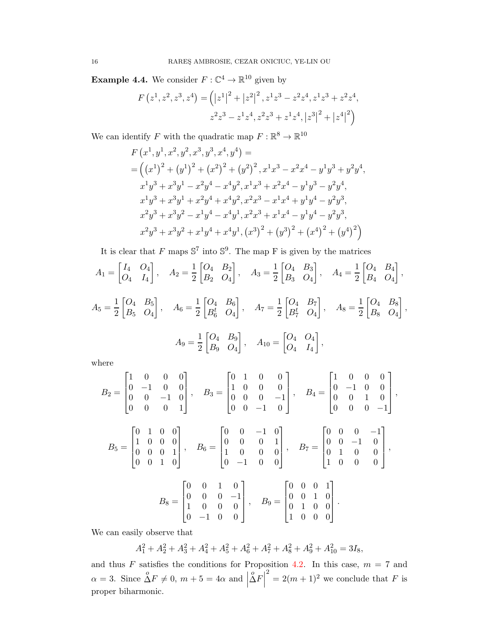**Example 4.4.** We consider  $F: \mathbb{C}^4 \to \mathbb{R}^{10}$  given by

$$
F(z^1, z^2, z^3, z^4) = (|z^1|^2 + |z^2|^2, z^1 z^3 - z^2 z^4, z^1 z^3 + z^2 z^4, z^2 z^3 - z^1 z^4, z^2 z^3 + z^1 z^4, |z^3|^2 + |z^4|^2)
$$

We can identify F with the quadratic map  $F: \mathbb{R}^8 \to \mathbb{R}^{10}$ 

$$
F(x^1, y^1, x^2, y^2, x^3, y^3, x^4, y^4) =
$$
  
= 
$$
((x^1)^2 + (y^1)^2 + (x^2)^2 + (y^2)^2, x^1x^3 - x^2x^4 - y^1y^3 + y^2y^4,
$$
  

$$
x^1y^3 + x^3y^1 - x^2y^4 - x^4y^2, x^1x^3 + x^2x^4 - y^1y^3 - y^2y^4,
$$
  

$$
x^1y^3 + x^3y^1 + x^2y^4 + x^4y^2, x^2x^3 - x^1x^4 + y^1y^4 - y^2y^3,
$$
  

$$
x^2y^3 + x^3y^2 - x^1y^4 - x^4y^1, x^2x^3 + x^1x^4 - y^1y^4 - y^2y^3,
$$
  

$$
x^2y^3 + x^3y^2 + x^1y^4 + x^4y^1, (x^3)^2 + (y^3)^2 + (x^4)^2 + (y^4)^2)
$$

It is clear that F maps  $\mathbb{S}^7$  into  $\mathbb{S}^9$ . The map F is given by the matrices

$$
A_1 = \begin{bmatrix} I_4 & O_4 \\ O_4 & I_4 \end{bmatrix}, \quad A_2 = \frac{1}{2} \begin{bmatrix} O_4 & B_2 \\ B_2 & O_4 \end{bmatrix}, \quad A_3 = \frac{1}{2} \begin{bmatrix} O_4 & B_3 \\ B_3 & O_4 \end{bmatrix}, \quad A_4 = \frac{1}{2} \begin{bmatrix} O_4 & B_4 \\ B_4 & O_4 \end{bmatrix},
$$
  

$$
A_5 = \frac{1}{2} \begin{bmatrix} O_4 & B_5 \\ B_5 & O_4 \end{bmatrix}, \quad A_6 = \frac{1}{2} \begin{bmatrix} O_4 & B_6 \\ B_6^t & O_4 \end{bmatrix}, \quad A_7 = \frac{1}{2} \begin{bmatrix} O_4 & B_7 \\ B_7^t & O_4 \end{bmatrix}, \quad A_8 = \frac{1}{2} \begin{bmatrix} O_4 & B_8 \\ B_8 & O_4 \end{bmatrix},
$$
  

$$
A_9 = \frac{1}{2} \begin{bmatrix} O_4 & B_9 \\ B_9 & O_4 \end{bmatrix}, \quad A_{10} = \begin{bmatrix} O_4 & O_4 \\ O_4 & I_4 \end{bmatrix},
$$

where

$$
B_2 = \begin{bmatrix} 1 & 0 & 0 & 0 \\ 0 & -1 & 0 & 0 \\ 0 & 0 & -1 & 0 \\ 0 & 0 & 0 & 1 \end{bmatrix}, \quad B_3 = \begin{bmatrix} 0 & 1 & 0 & 0 \\ 1 & 0 & 0 & 0 \\ 0 & 0 & 0 & -1 \\ 0 & 0 & -1 & 0 \end{bmatrix}, \quad B_4 = \begin{bmatrix} 1 & 0 & 0 & 0 \\ 0 & -1 & 0 & 0 \\ 0 & 0 & 1 & 0 \\ 0 & 0 & 0 & -1 \end{bmatrix},
$$

$$
B_5 = \begin{bmatrix} 0 & 1 & 0 & 0 \\ 1 & 0 & 0 & 0 \\ 0 & 0 & 0 & 1 \\ 0 & 0 & 1 & 0 \end{bmatrix}, \quad B_6 = \begin{bmatrix} 0 & 0 & -1 & 0 \\ 0 & 0 & 0 & 1 \\ 1 & 0 & 0 & 0 \\ 0 & -1 & 0 & 0 \end{bmatrix}, \quad B_7 = \begin{bmatrix} 0 & 0 & 0 & -1 \\ 0 & 0 & -1 & 0 \\ 0 & 1 & 0 & 0 \\ 1 & 0 & 0 & 0 \end{bmatrix},
$$

$$
B_8 = \begin{bmatrix} 0 & 0 & 1 & 0 \\ 0 & 0 & 0 & -1 \\ 1 & 0 & 0 & 0 \\ 0 & -1 & 0 & 0 \end{bmatrix}, \quad B_9 = \begin{bmatrix} 0 & 0 & 0 & 1 \\ 0 & 0 & 1 & 0 \\ 0 & 1 & 0 & 0 \\ 1 & 0 & 0 & 0 \end{bmatrix}.
$$

We can easily observe that

 $A_1^2 + A_2^2 + A_3^2 + A_4^2 + A_5^2 + A_6^2 + A_7^2 + A_8^2 + A_9^2 + A_{10}^2 = 3I_8,$ 

and thus F satisfies the conditions for Proposition [4.2.](#page-14-1) In this case,  $m = 7$  and  $\alpha = 3$ . Since  $\Delta F \neq 0$ ,  $m + 5 = 4\alpha$  and  $\vert$  $\Delta F$  $2^2 = 2(m+1)^2$  we conclude that F is proper biharmonic.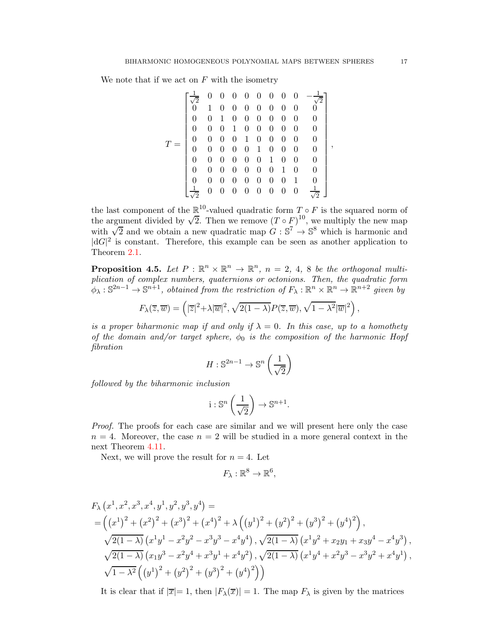We note that if we act on  $F$  with the isometry

$$
T = \begin{bmatrix} \frac{1}{\sqrt{2}} & 0 & 0 & 0 & 0 & 0 & 0 & 0 & 0 & -\frac{1}{\sqrt{2}} \\ 0 & 1 & 0 & 0 & 0 & 0 & 0 & 0 & 0 & 0 \\ 0 & 0 & 1 & 0 & 0 & 0 & 0 & 0 & 0 & 0 \\ 0 & 0 & 0 & 1 & 0 & 0 & 0 & 0 & 0 & 0 \\ 0 & 0 & 0 & 0 & 1 & 0 & 0 & 0 & 0 & 0 \\ 0 & 0 & 0 & 0 & 0 & 1 & 0 & 0 & 0 & 0 \\ 0 & 0 & 0 & 0 & 0 & 0 & 1 & 0 & 0 & 0 \\ 0 & 0 & 0 & 0 & 0 & 0 & 0 & 1 & 0 & 0 \\ \frac{1}{\sqrt{2}} & 0 & 0 & 0 & 0 & 0 & 0 & 0 & 0 & \frac{1}{\sqrt{2}} \end{bmatrix}
$$

,

the last component of the  $\mathbb{R}^{10}$ -valued quadratic form  $T \circ F$  is the squared norm of the argument divided by  $\sqrt{2}$ . Then we remove  $(T \circ F)^{10}$ , we multiply the new map with  $\sqrt{2}$  and we obtain a new quadratic map  $G : \mathbb{S}^7 \to \mathbb{S}^8$  which is harmonic and  $|dG|^2$  is constant. Therefore, this example can be seen as another application to Theorem [2.1.](#page-2-1)

**Proposition 4.5.** Let  $P : \mathbb{R}^n \times \mathbb{R}^n \to \mathbb{R}^n$ ,  $n = 2, 4, 8$  be the orthogonal multi*plication of complex numbers, quaternions or octonions. Then, the quadratic form*  $\phi_{\lambda}: \mathbb{S}^{2n-1}\to \mathbb{S}^{n+1}$ , obtained from the restriction of  $F_{\lambda}: \mathbb{R}^n\times \mathbb{R}^n\to \mathbb{R}^{n+2}$  given by

$$
F_{\lambda}(\overline{z}, \overline{w}) = \left( |\overline{z}|^2 + \lambda |\overline{w}|^2, \sqrt{2(1-\lambda)} P(\overline{z}, \overline{w}), \sqrt{1-\lambda^2} |\overline{w}|^2 \right),
$$

*is a proper biharmonic map if and only if*  $\lambda = 0$ *. In this case, up to a homothety of the domain and/or target sphere,*  $\phi_0$  *is the composition of the harmonic Hopf fibration*

$$
H: \mathbb{S}^{2n-1} \to \mathbb{S}^n\left(\frac{1}{\sqrt{2}}\right)
$$

*followed by the biharmonic inclusion*

$$
i: \mathbb{S}^n\left(\frac{1}{\sqrt{2}}\right) \to \mathbb{S}^{n+1}.
$$

*Proof.* The proofs for each case are similar and we will present here only the case  $n = 4$ . Moreover, the case  $n = 2$  will be studied in a more general context in the next Theorem [4.11.](#page-22-0)

Next, we will prove the result for  $n = 4$ . Let

$$
F_{\lambda}: \mathbb{R}^8 \to \mathbb{R}^6,
$$

$$
F_{\lambda} (x^{1}, x^{2}, x^{3}, x^{4}, y^{1}, y^{2}, y^{3}, y^{4}) =
$$
  
=  $\left( (x^{1})^{2} + (x^{2})^{2} + (x^{3})^{2} + (x^{4})^{2} + \lambda \left( (y^{1})^{2} + (y^{2})^{2} + (y^{3})^{2} + (y^{4})^{2} \right) \right),$   
 $\sqrt{2(1 - \lambda)} (x^{1}y^{1} - x^{2}y^{2} - x^{3}y^{3} - x^{4}y^{4}), \sqrt{2(1 - \lambda)} (x^{1}y^{2} + x_{2}y_{1} + x_{3}y^{4} - x^{4}y^{3}),$   
 $\sqrt{2(1 - \lambda)} (x_{1}y^{3} - x^{2}y^{4} + x^{3}y^{1} + x^{4}y^{2}), \sqrt{2(1 - \lambda)} (x^{1}y^{4} + x^{2}y^{3} - x^{3}y^{2} + x^{4}y^{1}),$   
 $\sqrt{1 - \lambda^{2}} ((y^{1})^{2} + (y^{2})^{2} + (y^{3})^{2} + (y^{4})^{2}))$ 

It is clear that if  $|\overline{x}| = 1$ , then  $|F_\lambda(\overline{x})| = 1$ . The map  $F_\lambda$  is given by the matrices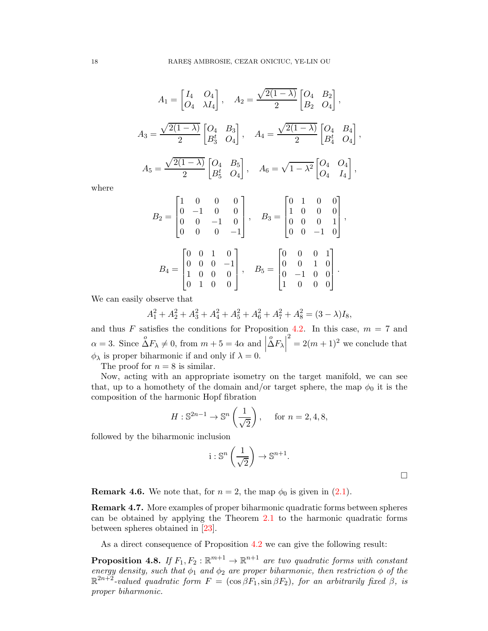$$
A_1 = \begin{bmatrix} I_4 & O_4 \\ O_4 & \lambda I_4 \end{bmatrix}, \quad A_2 = \frac{\sqrt{2(1-\lambda)}}{2} \begin{bmatrix} O_4 & B_2 \\ B_2 & O_4 \end{bmatrix},
$$

$$
A_3 = \frac{\sqrt{2(1-\lambda)}}{2} \begin{bmatrix} O_4 & B_3 \\ B_3^t & O_4 \end{bmatrix}, \quad A_4 = \frac{\sqrt{2(1-\lambda)}}{2} \begin{bmatrix} O_4 & B_4 \\ B_4^t & O_4 \end{bmatrix},
$$

$$
A_5 = \frac{\sqrt{2(1-\lambda)}}{2} \begin{bmatrix} O_4 & B_5 \\ B_5^t & O_4 \end{bmatrix}, \quad A_6 = \sqrt{1-\lambda^2} \begin{bmatrix} O_4 & O_4 \\ O_4 & I_4 \end{bmatrix},
$$

where

$$
B_2 = \begin{bmatrix} 1 & 0 & 0 & 0 \\ 0 & -1 & 0 & 0 \\ 0 & 0 & -1 & 0 \\ 0 & 0 & 0 & -1 \end{bmatrix}, \quad B_3 = \begin{bmatrix} 0 & 1 & 0 & 0 \\ 1 & 0 & 0 & 0 \\ 0 & 0 & 0 & 1 \\ 0 & 0 & -1 & 0 \end{bmatrix},
$$

$$
B_4 = \begin{bmatrix} 0 & 0 & 1 & 0 \\ 0 & 0 & 0 & -1 \\ 1 & 0 & 0 & 0 \\ 0 & 1 & 0 & 0 \end{bmatrix}, \quad B_5 = \begin{bmatrix} 0 & 0 & 0 & 1 \\ 0 & 0 & 1 & 0 \\ 0 & -1 & 0 & 0 \\ 1 & 0 & 0 & 0 \end{bmatrix}.
$$

We can easily observe that

$$
A_1^2 + A_2^2 + A_3^2 + A_4^2 + A_5^2 + A_6^2 + A_7^2 + A_8^2 = (3 - \lambda)I_8,
$$

and thus F satisfies the conditions for Proposition [4.2.](#page-14-1) In this case,  $m = 7$  and  $\alpha = 3$ . Since  $\Delta F_{\lambda} \neq 0$ , from  $m + 5 = 4\alpha$  and  $\begin{vmatrix} 1 & \text{if } \\ 0 & \text{if } \\ 0 & \text{if } \end{vmatrix}$  $\Delta F_{\lambda}$  $2^2 = 2(m+1)^2$  we conclude that  $\phi_{\lambda}$  is proper biharmonic if and only if  $\lambda = 0$ .

The proof for  $n = 8$  is similar.

Now, acting with an appropriate isometry on the target manifold, we can see that, up to a homothety of the domain and/or target sphere, the map  $\phi_0$  it is the composition of the harmonic Hopf fibration

$$
H: \mathbb{S}^{2n-1} \to \mathbb{S}^n\left(\frac{1}{\sqrt{2}}\right), \quad \text{ for } n = 2, 4, 8,
$$

followed by the biharmonic inclusion

$$
i: \mathbb{S}^n\left(\frac{1}{\sqrt{2}}\right) \to \mathbb{S}^{n+1}.
$$

 $\Box$ 

**Remark 4.6.** We note that, for  $n = 2$ , the map  $\phi_0$  is given in [\(2.1\)](#page-2-2).

Remark 4.7. More examples of proper biharmonic quadratic forms between spheres can be obtained by applying the Theorem [2.1](#page-2-1) to the harmonic quadratic forms between spheres obtained in [\[23\]](#page-35-6).

As a direct consequence of Proposition [4.2](#page-14-1) we can give the following result:

**Proposition 4.8.** If  $F_1, F_2 : \mathbb{R}^{m+1} \to \mathbb{R}^{n+1}$  are two quadratic forms with constant *energy density, such that*  $\phi_1$  *and*  $\phi_2$  *are proper biharmonic, then restriction*  $\phi$  *of the*  $\mathbb{R}^{2n+2}$ -valued quadratic form  $F = (\cos \beta F_1, \sin \beta F_2)$ , for an arbitrarily fixed  $\beta$ , is *proper biharmonic.*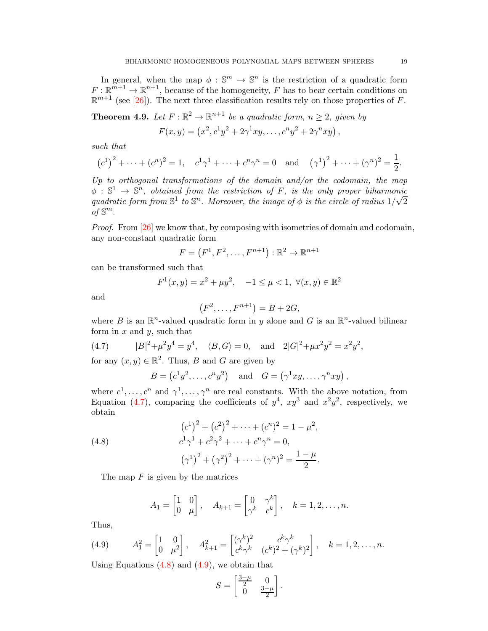In general, when the map  $\phi : \mathbb{S}^m \to \mathbb{S}^n$  is the restriction of a quadratic form  $F: \mathbb{R}^{m+1} \to \mathbb{R}^{n+1}$ , because of the homogeneity, F has to bear certain conditions on  $\mathbb{R}^{m+1}$  (see [\[26\]](#page-35-3)). The next three classification results rely on those properties of F.

<span id="page-18-0"></span>**Theorem 4.9.** Let  $F: \mathbb{R}^2 \to \mathbb{R}^{n+1}$  be a quadratic form,  $n \geq 2$ , given by

$$
F(x,y) = (x^2, c^1y^2 + 2\gamma^1xy, \dots, c^ny^2 + 2\gamma^nxy),
$$

*such that*

$$
(c^1)^2 + \dots + (c^n)^2 = 1
$$
,  $c^1 \gamma^1 + \dots + c^n \gamma^n = 0$  and  $(\gamma^1)^2 + \dots + (\gamma^n)^2 = \frac{1}{2}$ .

*Up to orthogonal transformations of the domain and/or the codomain, the map*  $\phi : \mathbb{S}^1 \to \mathbb{S}^n$ , obtained from the restriction of F, is the only proper biharmonic  $q$  is the circle of radius  $1/\sqrt{2}$ <br>quadratic form from  $\mathbb{S}^1$  to  $\mathbb{S}^n$ . Moreover, the image of  $\phi$  is the circle of radius  $1/\sqrt{2}$  $of \mathbb{S}^m$ .

*Proof.* From [\[26\]](#page-35-3) we know that, by composing with isometries of domain and codomain, any non-constant quadratic form

$$
F = (F^1, F^2, \dots, F^{n+1}) : \mathbb{R}^2 \to \mathbb{R}^{n+1}
$$

can be transformed such that

$$
F^1(x, y) = x^2 + \mu y^2
$$
,  $-1 \le \mu < 1$ ,  $\forall (x, y) \in \mathbb{R}^2$ 

and

$$
(F2,...,Fn+1) = B + 2G,
$$

where B is an  $\mathbb{R}^n$ -valued quadratic form in y alone and G is an  $\mathbb{R}^n$ -valued bilinear form in  $x$  and  $y$ , such that

(4.7) 
$$
|B|^2 + \mu^2 y^4 = y^4, \quad \langle B, G \rangle = 0, \text{ and } 2|G|^2 + \mu x^2 y^2 = x^2 y^2,
$$

for any  $(x, y) \in \mathbb{R}^2$ . Thus, B and G are given by

<span id="page-18-1"></span>
$$
B = (c^1y^2, \dots, c^ny^2)
$$
 and  $G = (\gamma^1xy, \dots, \gamma^nxy)$ ,

where  $c^1, \ldots, c^n$  and  $\gamma^1, \ldots, \gamma^n$  are real constants. With the above notation, from Equation [\(4.7\)](#page-18-1), comparing the coefficients of  $y^4$ ,  $xy^3$  and  $x^2y^2$ , respectively, we obtain

<span id="page-18-2"></span>(4.8) 
$$
(c^{1})^{2} + (c^{2})^{2} + \cdots + (c^{n})^{2} = 1 - \mu^{2},
$$

$$
c^{1}\gamma^{1} + c^{2}\gamma^{2} + \cdots + c^{n}\gamma^{n} = 0,
$$

$$
(\gamma^{1})^{2} + (\gamma^{2})^{2} + \cdots + (\gamma^{n})^{2} = \frac{1 - \mu}{2}.
$$

The map  $F$  is given by the matrices

$$
A_1 = \begin{bmatrix} 1 & 0 \\ 0 & \mu \end{bmatrix}, \quad A_{k+1} = \begin{bmatrix} 0 & \gamma^k \\ \gamma^k & c^k \end{bmatrix}, \quad k = 1, 2, \dots, n.
$$

Thus,

<span id="page-18-3"></span>(4.9) 
$$
A_1^2 = \begin{bmatrix} 1 & 0 \\ 0 & \mu^2 \end{bmatrix}, \quad A_{k+1}^2 = \begin{bmatrix} (\gamma^k)^2 & c^k \gamma^k \\ c^k \gamma^k & (c^k)^2 + (\gamma^k)^2 \end{bmatrix}, \quad k = 1, 2, ..., n.
$$

Using Equations  $(4.8)$  and  $(4.9)$ , we obtain that

$$
S = \begin{bmatrix} \frac{3-\mu}{2} & 0\\ 0 & \frac{3-\mu}{2} \end{bmatrix}.
$$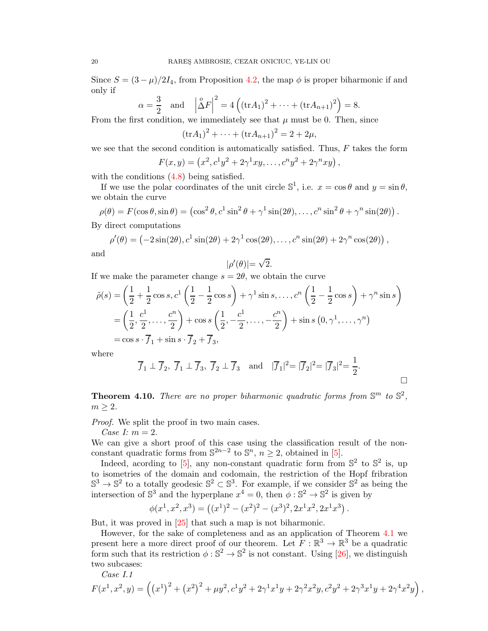Since  $S = (3 - \mu)/2I_4$ , from Proposition [4.2,](#page-14-1) the map  $\phi$  is proper biharmonic if and only if

$$
\alpha = \frac{3}{2}
$$
 and  $|\Delta F|^2 = 4((\text{tr}A_1)^2 + \dots + (\text{tr}A_{n+1})^2) = 8.$ 

From the first condition, we immediately see that  $\mu$  must be 0. Then, since

$$
(\text{tr} A_1)^2 + \dots + (\text{tr} A_{n+1})^2 = 2 + 2\mu,
$$

we see that the second condition is automatically satisfied. Thus,  $F$  takes the form

$$
F(x,y) = (x^2, c^1y^2 + 2\gamma^1xy, \dots, c^ny^2 + 2\gamma^nxy),
$$

with the conditions  $(4.8)$  being satisfied.

If we use the polar coordinates of the unit circle  $\mathbb{S}^1$ , i.e.  $x = \cos \theta$  and  $y = \sin \theta$ , we obtain the curve

$$
\rho(\theta) = F(\cos \theta, \sin \theta) = (\cos^2 \theta, c^1 \sin^2 \theta + \gamma^1 \sin(2\theta), \dots, c^n \sin^2 \theta + \gamma^n \sin(2\theta)).
$$
  
By direct computations

$$
\rho'(\theta) = \left(-2\sin(2\theta), c^1\sin(2\theta) + 2\gamma^1\cos(2\theta), \dots, c^n\sin(2\theta) + 2\gamma^n\cos(2\theta)\right),
$$
 and

$$
|\rho'(\theta)| = \sqrt{2}.
$$

If we make the parameter change  $s = 2\theta$ , we obtain the curve

$$
\tilde{\rho}(s) = \left(\frac{1}{2} + \frac{1}{2}\cos s, c^1\left(\frac{1}{2} - \frac{1}{2}\cos s\right) + \gamma^1 \sin s, \dots, c^n \left(\frac{1}{2} - \frac{1}{2}\cos s\right) + \gamma^n \sin s\right)
$$
  
=  $\left(\frac{1}{2}, \frac{c^1}{2}, \dots, \frac{c^n}{2}\right) + \cos s \left(\frac{1}{2}, -\frac{c^1}{2}, \dots, -\frac{c^n}{2}\right) + \sin s (0, \gamma^1, \dots, \gamma^n)$   
=  $\cos s \cdot \overline{f}_1 + \sin s \cdot \overline{f}_2 + \overline{f}_3$ ,

where

$$
\overline{f}_1 \perp \overline{f}_2
$$
,  $\overline{f}_1 \perp \overline{f}_3$ ,  $\overline{f}_2 \perp \overline{f}_3$  and  $|\overline{f}_1|^2 = |\overline{f}_2|^2 = |\overline{f}_3|^2 = \frac{1}{2}$ .

<span id="page-19-0"></span>**Theorem 4.10.** There are no proper biharmonic quadratic forms from  $\mathbb{S}^m$  to  $\mathbb{S}^2$ ,  $m \geq 2$ .

*Proof.* We split the proof in two main cases.

*Case I:* m = 2.

We can give a short proof of this case using the classification result of the nonconstant quadratic forms from  $\mathbb{S}^{2n-2}$  to  $\mathbb{S}^n$ ,  $n \geq 2$ , obtained in [\[5\]](#page-34-15).

Indeed, acording to [\[5\]](#page-34-15), any non-constant quadratic form from  $\mathbb{S}^2$  to  $\mathbb{S}^2$  is, up to isometries of the domain and codomain, the restriction of the Hopf fribration  $\mathbb{S}^3 \to \mathbb{S}^2$  to a totally geodesic  $\mathbb{S}^2 \subset \mathbb{S}^3$ . For example, if we consider  $\mathbb{S}^2$  as being the intersection of  $\mathbb{S}^3$  and the hyperplane  $x^4 = 0$ , then  $\phi : \mathbb{S}^2 \to \mathbb{S}^2$  is given by

$$
\phi(x^1, x^2, x^3) = ((x^1)^2 - (x^2)^2 - (x^3)^2, 2x^1x^2, 2x^1x^3).
$$

But, it was proved in [\[25\]](#page-35-1) that such a map is not biharmonic.

However, for the sake of completeness and as an application of Theorem [4.1](#page-13-0) we present here a more direct proof of our theorem. Let  $F : \mathbb{R}^3 \to \mathbb{R}^3$  be a quadratic form such that its restriction  $\phi : \mathbb{S}^2 \to \mathbb{S}^2$  is not constant. Using [\[26\]](#page-35-3), we distinguish two subcases:

*Case I.1*

$$
F(x^1, x^2, y) = ((x^1)^2 + (x^2)^2 + \mu y^2, c^1 y^2 + 2\gamma^1 x^1 y + 2\gamma^2 x^2 y, c^2 y^2 + 2\gamma^3 x^1 y + 2\gamma^4 x^2 y),
$$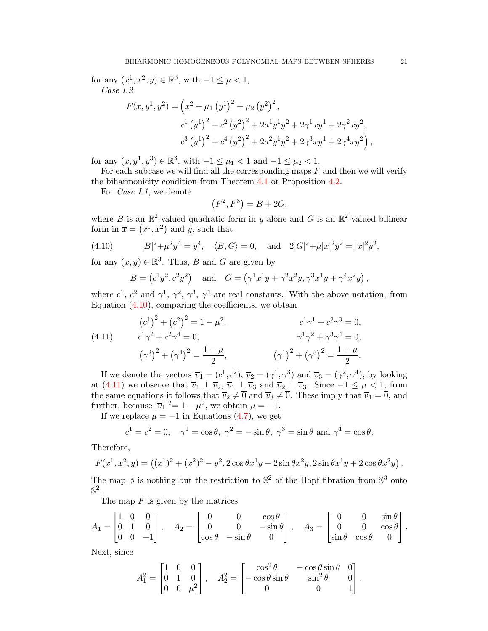for any  $(x^1, x^2, y) \in \mathbb{R}^3$ , with  $-1 \le \mu < 1$ , *Case I.2*  $F(x, y<sup>1</sup>, y<sup>2</sup>) = (x<sup>2</sup> + \mu<sub>1</sub> (y<sup>1</sup>)<sup>2</sup> + \mu<sub>2</sub> (y<sup>2</sup>)<sup>2</sup>,$  $c^{1}(y^{1})^{2}+c^{2}(y^{2})^{2}+2a^{1}y^{1}y^{2}+2\gamma^{1}xy^{1}+2\gamma^{2}xy^{2},$  $c^{3}(y^{1})^{2}+c^{4}(y^{2})^{2}+2a^{2}y^{1}y^{2}+2\gamma^{3}xy^{1}+2\gamma^{4}xy^{2}),$ 

for any  $(x, y^1, y^3) \in \mathbb{R}^3$ , with  $-1 \le \mu_1 < 1$  and  $-1 \le \mu_2 < 1$ .

For each subcase we will find all the corresponding maps  $F$  and then we will verify the biharmonicity condition from Theorem [4.1](#page-13-0) or Proposition [4.2.](#page-14-1)

For *Case I.1*, we denote

$$
(F^2, F^3) = B + 2G,
$$

where B is an  $\mathbb{R}^2$ -valued quadratic form in y alone and G is an  $\mathbb{R}^2$ -valued bilinear form in  $\overline{x} = (x^1, x^2)$  and y, such that

(4.10) 
$$
|B|^2 + \mu^2 y^4 = y^4, \quad \langle B, G \rangle = 0, \text{ and } 2|G|^2 + \mu |x|^2 y^2 = |x|^2 y^2,
$$

for any  $(\overline{x}, y) \in \mathbb{R}^3$ . Thus, B and G are given by

<span id="page-20-0"></span>
$$
B = (c^1 y^2, c^2 y^2)
$$
 and  $G = (\gamma^1 x^1 y + \gamma^2 x^2 y, \gamma^3 x^1 y + \gamma^4 x^2 y)$ ,

where  $c^1$ ,  $c^2$  and  $\gamma^1$ ,  $\gamma^2$ ,  $\gamma^3$ ,  $\gamma^4$  are real constants. With the above notation, from Equation  $(4.10)$ , comparing the coefficients, we obtain

<span id="page-20-1"></span>(4.11) 
$$
(c^{1})^{2} + (c^{2})^{2} = 1 - \mu^{2}, \qquad c^{1}\gamma^{1} + c^{2}\gamma^{3} = 0,
$$

$$
c^{1}\gamma^{2} + c^{2}\gamma^{4} = 0, \qquad \gamma^{1}\gamma^{2} + \gamma^{3}\gamma^{4} = 0,
$$

$$
(\gamma^{2})^{2} + (\gamma^{4})^{2} = \frac{1 - \mu}{2}, \qquad (\gamma^{1})^{2} + (\gamma^{3})^{2} = \frac{1 - \mu}{2}.
$$

If we denote the vectors  $\overline{v}_1 = (c^1, c^2), \overline{v}_2 = (\gamma^1, \gamma^3)$  and  $\overline{v}_3 = (\gamma^2, \gamma^4)$ , by looking at [\(4.11\)](#page-20-1) we observe that  $\overline{v}_1 \perp \overline{v}_2$ ,  $\overline{v}_1 \perp \overline{v}_3$  and  $\overline{v}_2 \perp \overline{v}_3$ . Since  $-1 \leq \mu < 1$ , from the same equations it follows that  $\overline{v}_2 \neq \overline{0}$  and  $\overline{v}_3 \neq \overline{0}$ . These imply that  $\overline{v}_1 = \overline{0}$ , and further, because  $|\overline{v}_1|^2 = 1 - \mu^2$ , we obtain  $\mu = -1$ .

If we replace  $\mu = -1$  in Equations [\(4.7\)](#page-18-1), we get

$$
c^1 = c^2 = 0
$$
,  $\gamma^1 = \cos \theta$ ,  $\gamma^2 = -\sin \theta$ ,  $\gamma^3 = \sin \theta$  and  $\gamma^4 = \cos \theta$ .

Therefore,

$$
F(x^1, x^2, y) = ((x^1)^2 + (x^2)^2 - y^2, 2\cos\theta x^1y - 2\sin\theta x^2y, 2\sin\theta x^1y + 2\cos\theta x^2y).
$$

The map  $\phi$  is nothing but the restriction to  $\mathbb{S}^2$  of the Hopf fibration from  $\mathbb{S}^3$  onto  $\mathbb{S}^2.$ 

The map  $F$  is given by the matrices

$$
A_1 = \begin{bmatrix} 1 & 0 & 0 \\ 0 & 1 & 0 \\ 0 & 0 & -1 \end{bmatrix}, \quad A_2 = \begin{bmatrix} 0 & 0 & \cos \theta \\ 0 & 0 & -\sin \theta \\ \cos \theta & -\sin \theta & 0 \end{bmatrix}, \quad A_3 = \begin{bmatrix} 0 & 0 & \sin \theta \\ 0 & 0 & \cos \theta \\ \sin \theta & \cos \theta & 0 \end{bmatrix}.
$$

Next, since

$$
A_1^2 = \begin{bmatrix} 1 & 0 & 0 \\ 0 & 1 & 0 \\ 0 & 0 & \mu^2 \end{bmatrix}, \quad A_2^2 = \begin{bmatrix} \cos^2 \theta & -\cos \theta \sin \theta & 0 \\ -\cos \theta \sin \theta & \sin^2 \theta & 0 \\ 0 & 0 & 1 \end{bmatrix},
$$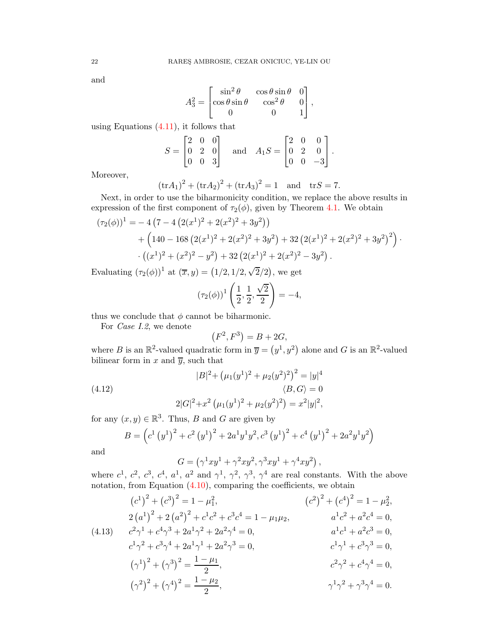and

$$
A_3^2 = \begin{bmatrix} \sin^2 \theta & \cos \theta \sin \theta & 0 \\ \cos \theta \sin \theta & \cos^2 \theta & 0 \\ 0 & 0 & 1 \end{bmatrix},
$$

using Equations [\(4.11\)](#page-20-1), it follows that

$$
S = \begin{bmatrix} 2 & 0 & 0 \\ 0 & 2 & 0 \\ 0 & 0 & 3 \end{bmatrix} \quad \text{and} \quad A_1 S = \begin{bmatrix} 2 & 0 & 0 \\ 0 & 2 & 0 \\ 0 & 0 & -3 \end{bmatrix}.
$$

Moreover,

$$
(\text{tr}A_1)^2 + (\text{tr}A_2)^2 + (\text{tr}A_3)^2 = 1
$$
 and  $\text{tr}S = 7$ .

Next, in order to use the biharmonicity condition, we replace the above results in expression of the first component of  $\tau_2(\phi)$ , given by Theorem [4.1.](#page-13-0) We obtain

$$
(\tau_2(\phi))^1 = -4 \left(7 - 4 \left(2(x^1)^2 + 2(x^2)^2 + 3y^2\right)\right) + \left(140 - 168 \left(2(x^1)^2 + 2(x^2)^2 + 3y^2\right) + 32 \left(2(x^1)^2 + 2(x^2)^2 + 3y^2\right)^2\right) \cdot \left((x^1)^2 + (x^2)^2 - y^2\right) + 32 \left(2(x^1)^2 + 2(x^2)^2 - 3y^2\right).
$$

Evaluating  $(\tau_2(\phi))^1$  at  $(\bar{x}, y) = (1/2, 1/2, \sqrt{2}/2)$ , we get

$$
(\tau_2(\phi))^1 \left(\frac{1}{2}, \frac{1}{2}, \frac{\sqrt{2}}{2}\right) = -4,
$$

thus we conclude that  $\phi$  cannot be biharmonic.

For *Case I.2*, we denote

$$
(F^2, F^3) = B + 2G,
$$

where B is an  $\mathbb{R}^2$ -valued quadratic form in  $\overline{y} = (y^1, y^2)$  alone and G is an  $\mathbb{R}^2$ -valued bilinear form in x and  $\overline{y}$ , such that

(4.12) 
$$
|B|^2 + (\mu_1(y^1)^2 + \mu_2(y^2)^2)^2 = |y|^4
$$

$$
\langle B, G \rangle = 0
$$

$$
2|G|^2 + x^2 (\mu_1(y^1)^2 + \mu_2(y^2)^2) = x^2|y|^2,
$$

for any  $(x, y) \in \mathbb{R}^3$ . Thus, B and G are given by

$$
B = \left(c^{1} (y^{1})^{2} + c^{2} (y^{1})^{2} + 2a^{1} y^{1} y^{2}, c^{3} (y^{1})^{2} + c^{4} (y^{1})^{2} + 2a^{2} y^{1} y^{2}\right)
$$

and

$$
G = (\gamma^1 xy^1 + \gamma^2 xy^2, \gamma^3 xy^1 + \gamma^4 xy^2),
$$

where  $c^1$ ,  $c^2$ ,  $c^3$ ,  $c^4$ ,  $a^1$ ,  $a^2$  and  $\gamma^1$ ,  $\gamma^2$ ,  $\gamma^3$ ,  $\gamma^4$  are real constants. With the above notation, from Equation  $(4.10)$ , comparing the coefficients, we obtain

<span id="page-21-0"></span>
$$
(c^{1})^{2} + (c^{3})^{2} = 1 - \mu_{1}^{2}, \qquad (c^{2})^{2} + (c^{4})^{2} = 1 - \mu_{2}^{2},
$$
  
\n
$$
2 (a^{1})^{2} + 2 (a^{2})^{2} + c^{1}c^{2} + c^{3}c^{4} = 1 - \mu_{1}\mu_{2}, \qquad a^{1}c^{2} + a^{2}c^{4} = 0,
$$
  
\n(4.13) 
$$
c^{2}\gamma^{1} + c^{4}\gamma^{3} + 2a^{1}\gamma^{2} + 2a^{2}\gamma^{4} = 0, \qquad a^{1}c^{1} + a^{2}c^{3} = 0,
$$
  
\n
$$
c^{1}\gamma^{2} + c^{3}\gamma^{4} + 2a^{1}\gamma^{1} + 2a^{2}\gamma^{3} = 0, \qquad c^{1}\gamma^{1} + c^{3}\gamma^{3} = 0,
$$
  
\n
$$
(\gamma^{1})^{2} + (\gamma^{3})^{2} = \frac{1 - \mu_{1}}{2}, \qquad c^{2}\gamma^{2} + c^{4}\gamma^{4} = 0,
$$
  
\n
$$
(\gamma^{2})^{2} + (\gamma^{4})^{2} = \frac{1 - \mu_{2}}{2}, \qquad \gamma^{1}\gamma^{2} + \gamma^{3}\gamma^{4} = 0.
$$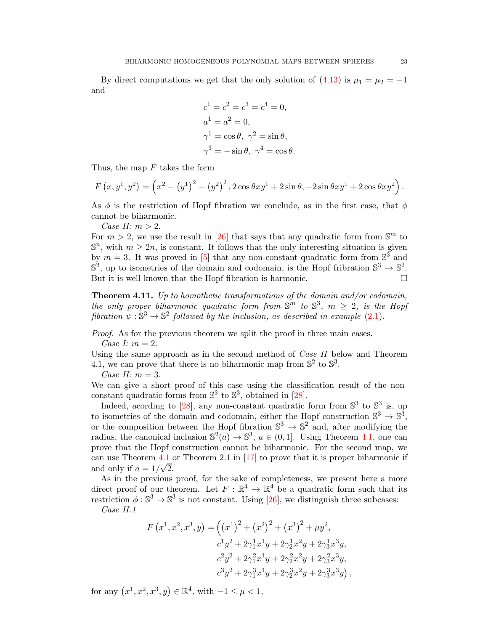By direct computations we get that the only solution of  $(4.13)$  is  $\mu_1 = \mu_2 = -1$ and

$$
c1 = c2 = c3 = c4 = 0,
$$
  
\n
$$
a1 = a2 = 0,
$$
  
\n
$$
\gamma1 = \cos \theta, \ \gamma2 = \sin \theta,
$$
  
\n
$$
\gamma3 = -\sin \theta, \ \gamma4 = \cos \theta.
$$

Thus, the map  $F$  takes the form

$$
F(x, y^1, y^2) = (x^2 - (y^1)^2 - (y^2)^2, 2\cos\theta xy^1 + 2\sin\theta, -2\sin\theta xy^1 + 2\cos\theta xy^2).
$$

As  $\phi$  is the restriction of Hopf fibration we conclude, as in the first case, that  $\phi$ cannot be biharmonic.

*Case II:*  $m > 2$ .

For  $m > 2$ , we use the result in [\[26\]](#page-35-3) that says that any quadratic form from  $\mathbb{S}^m$  to  $\mathbb{S}^n$ , with  $m \geq 2n$ , is constant. It follows that the only interesting situation is given by  $m = 3$ . It was proved in [\[5\]](#page-34-15) that any non-constant quadratic form from  $\mathbb{S}^3$  and  $\mathbb{S}^2$ , up to isometries of the domain and codomain, is the Hopf fribration  $\mathbb{S}^3 \to \mathbb{S}^2$ . But it is well known that the Hopf fibration is harmonic.

<span id="page-22-0"></span>Theorem 4.11. *Up to homothetic transformations of the domain and/or codomain, the only proper biharmonic quadratic form from*  $\mathbb{S}^m$  to  $\mathbb{S}^3$ ,  $m \geq 2$ , is the Hopf *fibration*  $\psi : \mathbb{S}^3 \to \mathbb{S}^2$  *followed by the inclusion, as described in example* [\(2.1\)](#page-2-2)*.* 

*Proof.* As for the previous theorem we split the proof in three main cases. *Case I:* m = 2.

Using the same approach as in the second method of *Case II* below and Theorem 4.1, we can prove that there is no biharmonic map from  $\mathbb{S}^2$  to  $\mathbb{S}^3$ .

*Case II:* m = 3.

We can give a short proof of this case using the classification result of the nonconstant quadratic forms from  $\mathbb{S}^3$  to  $\mathbb{S}^3$ , obtained in [\[28\]](#page-35-4).

Indeed, acording to [\[28\]](#page-35-4), any non-constant quadratic form from  $\mathbb{S}^3$  to  $\mathbb{S}^3$  is, up to isometries of the domain and codomain, either the Hopf construction  $\mathbb{S}^3 \to \mathbb{S}^3$ , or the composition between the Hopf fibration  $\mathbb{S}^3 \to \mathbb{S}^2$  and, after modifying the radius, the canonical inclusion  $\mathbb{S}^2(a) \to \mathbb{S}^3$ ,  $a \in (0,1]$ . Using Theorem [4.1,](#page-13-0) one can prove that the Hopf construction cannot be biharmonic. For the second map, we can use Theorem [4.1](#page-13-0) or Theorem 2.1 in [\[17\]](#page-34-8) to prove that it is proper biharmonic if and only if  $a = 1/\sqrt{2}$ .

As in the previous proof, for the sake of completeness, we present here a more direct proof of our theorem. Let  $F : \mathbb{R}^4 \to \mathbb{R}^4$  be a quadratic form such that its restriction  $\phi : \mathbb{S}^3 \to \mathbb{S}^3$  is not constant. Using [\[26\]](#page-35-3), we distinguish three subcases: *Case II.1*

$$
F(x^1, x^2, x^3, y) = ((x^1)^2 + (x^2)^2 + (x^3)^2 + \mu y^2,
$$
  
\n
$$
c^1 y^2 + 2\gamma_1^1 x^1 y + 2\gamma_2^1 x^2 y + 2\gamma_3^1 x^3 y,
$$
  
\n
$$
c^2 y^2 + 2\gamma_1^2 x^1 y + 2\gamma_2^2 x^2 y + 2\gamma_3^2 x^3 y,
$$
  
\n
$$
c^3 y^2 + 2\gamma_1^3 x^1 y + 2\gamma_2^3 x^2 y + 2\gamma_3^3 x^3 y),
$$

for any  $(x^1, x^2, x^3, y) \in \mathbb{R}^4$ , with  $-1 \le \mu < 1$ ,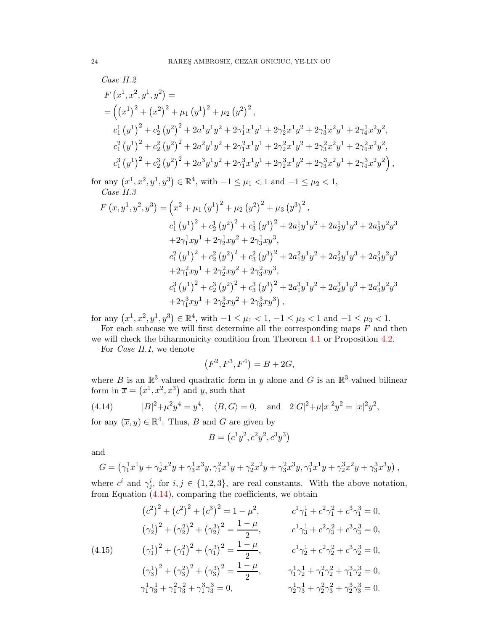Case II.2  
\n
$$
F(x^1, x^2, y^1, y^2) =
$$
\n
$$
= ((x^1)^2 + (x^2)^2 + \mu_1 (y^1)^2 + \mu_2 (y^2)^2,
$$
\n
$$
c_1^1 (y^1)^2 + c_2^1 (y^2)^2 + 2a^1 y^1 y^2 + 2\gamma_1^1 x^1 y^1 + 2\gamma_2^1 x^1 y^2 + 2\gamma_3^1 x^2 y^1 + 2\gamma_4^1 x^2 y^2,
$$
\n
$$
c_1^2 (y^1)^2 + c_2^2 (y^2)^2 + 2a^2 y^1 y^2 + 2\gamma_1^2 x^1 y^1 + 2\gamma_2^2 x^1 y^2 + 2\gamma_3^2 x^2 y^1 + 2\gamma_4^2 x^2 y^2,
$$
\n
$$
c_1^3 (y^1)^2 + c_2^3 (y^2)^2 + 2a^3 y^1 y^2 + 2\gamma_1^3 x^1 y^1 + 2\gamma_2^3 x^1 y^2 + 2\gamma_3^3 x^2 y^1 + 2\gamma_4^3 x^2 y^2),
$$

for any  $(x^1, x^2, y^1, y^3) \in \mathbb{R}^4$ , with  $-1 \le \mu_1 < 1$  and  $-1 \le \mu_2 < 1$ , *Case II.3*

$$
F(x, y^1, y^2, y^3) = (x^2 + \mu_1 (y^1)^2 + \mu_2 (y^2)^2 + \mu_3 (y^3)^2,
$$
  
\n
$$
c_1^1 (y^1)^2 + c_2^1 (y^2)^2 + c_3^1 (y^3)^2 + 2a_1^1 y^1 y^2 + 2a_2^1 y^1 y^3 + 2a_3^1 y^2 y^3
$$
  
\n
$$
+ 2\gamma_1^1 xy^1 + 2\gamma_2^1 xy^2 + 2\gamma_3^1 xy^3,
$$
  
\n
$$
c_1^2 (y^1)^2 + c_2^2 (y^2)^2 + c_3^2 (y^3)^2 + 2a_1^2 y^1 y^2 + 2a_2^2 y^1 y^3 + 2a_3^2 y^2 y^3
$$
  
\n
$$
+ 2\gamma_1^2 xy^1 + 2\gamma_2^2 xy^2 + 2\gamma_3^2 xy^3,
$$
  
\n
$$
c_1^3 (y^1)^2 + c_2^3 (y^2)^2 + c_3^3 (y^3)^2 + 2a_1^3 y^1 y^2 + 2a_2^3 y^1 y^3 + 2a_3^3 y^2 y^3
$$
  
\n
$$
+ 2\gamma_1^3 xy^1 + 2\gamma_2^3 xy^2 + 2\gamma_3^3 xy^3),
$$

for any  $(x^1, x^2, y^1, y^3) \in \mathbb{R}^4$ , with  $-1 \le \mu_1 < 1$ ,  $-1 \le \mu_2 < 1$  and  $-1 \le \mu_3 < 1$ .

For each subcase we will first determine all the corresponding maps  $F$  and then we will check the biharmonicity condition from Theorem [4.1](#page-13-0) or Proposition [4.2.](#page-14-1)

For *Case II.1*, we denote

$$
(F^2, F^3, F^4) = B + 2G,
$$

where B is an  $\mathbb{R}^3$ -valued quadratic form in y alone and G is an  $\mathbb{R}^3$ -valued bilinear form in  $\overline{x} = (x^1, x^2, x^3)$  and y, such that

<span id="page-23-0"></span>(4.14) 
$$
|B|^2 + \mu^2 y^4 = y^4, \quad \langle B, G \rangle = 0, \text{ and } 2|G|^2 + \mu |x|^2 y^2 = |x|^2 y^2,
$$

for any  $(\overline{x}, y) \in \mathbb{R}^4$ . Thus, B and G are given by

$$
B = (c^1 y^2, c^2 y^2, c^3 y^3)
$$

and

$$
G = (\gamma_1^1 x^1 y + \gamma_2^1 x^2 y + \gamma_3^1 x^3 y, \gamma_1^2 x^1 y + \gamma_2^2 x^2 y + \gamma_3^2 x^3 y, \gamma_1^3 x^1 y + \gamma_2^3 x^2 y + \gamma_3^3 x^3 y),
$$

where  $c^i$  and  $\gamma^i_j$ , for  $i, j \in \{1, 2, 3\}$ , are real constants. With the above notation, from Equation  $(4.14)$ , comparing the coefficients, we obtain

<span id="page-23-1"></span>
$$
(c^{2})^{2} + (c^{2})^{2} + (c^{3})^{2} = 1 - \mu^{2}, \t c^{1}\gamma_{1}^{1} + c^{2}\gamma_{1}^{2} + c^{3}\gamma_{1}^{3} = 0,
$$
  
\n
$$
(\gamma_{2}^{1})^{2} + (\gamma_{2}^{2})^{2} + (\gamma_{2}^{3})^{2} = \frac{1 - \mu}{2}, \t c^{1}\gamma_{3}^{1} + c^{2}\gamma_{3}^{2} + c^{3}\gamma_{3}^{3} = 0,
$$
  
\n
$$
(4.15) \t (\gamma_{1}^{1})^{2} + (\gamma_{1}^{2})^{2} + (\gamma_{1}^{3})^{2} = \frac{1 - \mu}{2}, \t c^{1}\gamma_{2}^{1} + c^{2}\gamma_{2}^{2} + c^{3}\gamma_{2}^{3} = 0,
$$
  
\n
$$
(\gamma_{3}^{1})^{2} + (\gamma_{3}^{2})^{2} + (\gamma_{3}^{3})^{2} = \frac{1 - \mu}{2}, \t \gamma_{1}^{1}\gamma_{2}^{1} + \gamma_{1}^{2}\gamma_{2}^{2} + \gamma_{1}^{3}\gamma_{2}^{3} = 0,
$$
  
\n
$$
\gamma_{1}^{1}\gamma_{3}^{1} + \gamma_{1}^{2}\gamma_{3}^{2} + \gamma_{1}^{3}\gamma_{3}^{3} = 0, \t \gamma_{2}^{1}\gamma_{3}^{1} + \gamma_{2}^{2}\gamma_{3}^{2} + \gamma_{2}^{3}\gamma_{3}^{3} = 0.
$$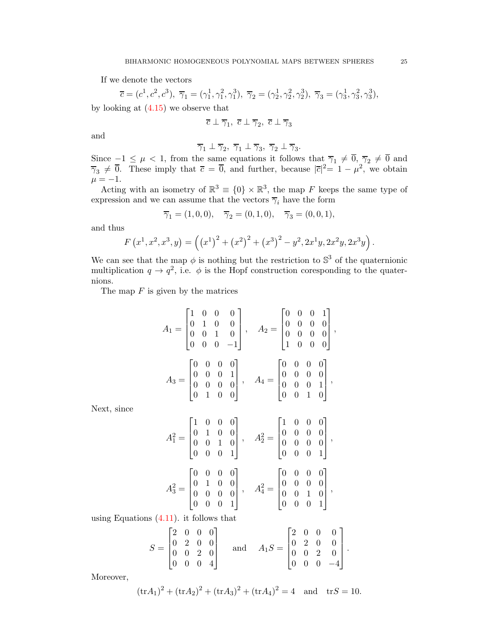If we denote the vectors

 $\overline{c} = (c^1, c^2, c^3), \overline{\gamma}_1 = (\gamma_1^1, \gamma_1^2, \gamma_1^3), \overline{\gamma}_2 = (\gamma_2^1, \gamma_2^2, \gamma_2^3), \overline{\gamma}_3 = (\gamma_3^1, \gamma_3^2, \gamma_3^3),$ by looking at [\(4.15\)](#page-23-1) we observe that

$$
\overline{c}\perp\overline{\gamma}_1,\ \overline{c}\perp\overline{\gamma}_2,\ \overline{c}\perp\overline{\gamma}_3
$$

and

$$
\overline{\gamma}_1 \perp \overline{\gamma}_2
$$
,  $\overline{\gamma}_1 \perp \overline{\gamma}_3$ ,  $\overline{\gamma}_2 \perp \overline{\gamma}_3$ .

Since  $-1 \leq \mu < 1$ , from the same equations it follows that  $\overline{\gamma}_1 \neq \overline{0}$ ,  $\overline{\gamma}_2 \neq \overline{0}$  and  $\overline{\gamma}_3 \neq \overline{0}$ . These imply that  $\overline{c} = \overline{0}$ , and further, because  $|\overline{c}|^2 = 1 - \mu^2$ , we obtain  $\mu = -1.$ 

Acting with an isometry of  $\mathbb{R}^3 \equiv \{0\} \times \mathbb{R}^3$ , the map F keeps the same type of expression and we can assume that the vectors  $\overline{\gamma}_i$  have the form

$$
\overline{\gamma}_1 = (1,0,0), \quad \overline{\gamma}_2 = (0,1,0), \quad \overline{\gamma}_3 = (0,0,1),
$$

and thus

$$
F(x^1, x^2, x^3, y) = ((x^1)^2 + (x^2)^2 + (x^3)^2 - y^2, 2x^1y, 2x^2y, 2x^3y).
$$

We can see that the map  $\phi$  is nothing but the restriction to  $\mathbb{S}^3$  of the quaternionic multiplication  $q \to q^2$ , i.e.  $\phi$  is the Hopf construction coresponding to the quaternions.

The map  $F$  is given by the matrices

$$
A_1 = \begin{bmatrix} 1 & 0 & 0 & 0 \\ 0 & 1 & 0 & 0 \\ 0 & 0 & 1 & 0 \\ 0 & 0 & 0 & -1 \end{bmatrix}, \quad A_2 = \begin{bmatrix} 0 & 0 & 0 & 1 \\ 0 & 0 & 0 & 0 \\ 0 & 0 & 0 & 0 \\ 1 & 0 & 0 & 0 \end{bmatrix},
$$

$$
A_3 = \begin{bmatrix} 0 & 0 & 0 & 0 \\ 0 & 0 & 0 & 1 \\ 0 & 0 & 0 & 0 \\ 0 & 1 & 0 & 0 \end{bmatrix}, \quad A_4 = \begin{bmatrix} 0 & 0 & 0 & 0 \\ 0 & 0 & 0 & 0 \\ 0 & 0 & 0 & 1 \\ 0 & 0 & 1 & 0 \end{bmatrix},
$$

Next, since

$$
A_1^2 = \begin{bmatrix} 1 & 0 & 0 & 0 \\ 0 & 1 & 0 & 0 \\ 0 & 0 & 1 & 0 \\ 0 & 0 & 0 & 1 \end{bmatrix}, \quad A_2^2 = \begin{bmatrix} 1 & 0 & 0 & 0 \\ 0 & 0 & 0 & 0 \\ 0 & 0 & 0 & 0 \\ 0 & 0 & 0 & 1 \end{bmatrix},
$$

$$
A_3^2 = \begin{bmatrix} 0 & 0 & 0 & 0 \\ 0 & 1 & 0 & 0 \\ 0 & 0 & 0 & 0 \\ 0 & 0 & 0 & 1 \end{bmatrix}, \quad A_4^2 = \begin{bmatrix} 0 & 0 & 0 & 0 \\ 0 & 0 & 0 & 0 \\ 0 & 0 & 1 & 0 \\ 0 & 0 & 0 & 1 \end{bmatrix},
$$

using Equations [\(4.11\)](#page-20-1). it follows that

$$
S = \begin{bmatrix} 2 & 0 & 0 & 0 \\ 0 & 2 & 0 & 0 \\ 0 & 0 & 2 & 0 \\ 0 & 0 & 0 & 4 \end{bmatrix} \quad \text{and} \quad A_1 S = \begin{bmatrix} 2 & 0 & 0 & 0 \\ 0 & 2 & 0 & 0 \\ 0 & 0 & 2 & 0 \\ 0 & 0 & 0 & -4 \end{bmatrix}.
$$

Moreover,

$$
(\text{tr}A_1)^2 + (\text{tr}A_2)^2 + (\text{tr}A_3)^2 + (\text{tr}A_4)^2 = 4
$$
 and  $\text{tr}S = 10$ .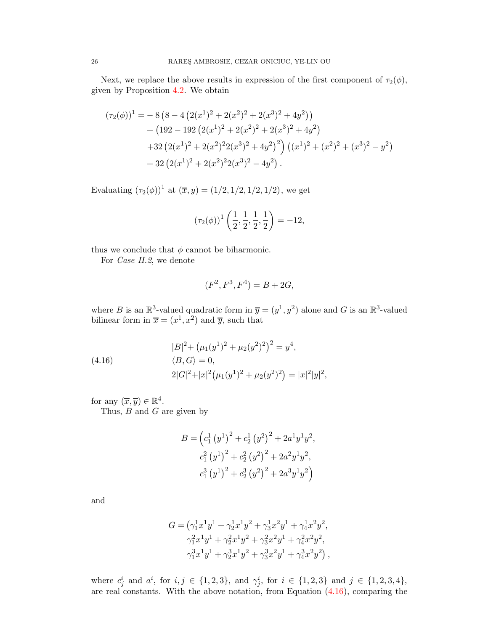Next, we replace the above results in expression of the first component of  $\tau_2(\phi)$ , given by Proposition [4.2.](#page-14-1) We obtain

$$
(\tau_2(\phi))^1 = -8(8 - 4(2(x^1)^2 + 2(x^2)^2 + 2(x^3)^2 + 4y^2))
$$
  
+ 
$$
(192 - 192(2(x^1)^2 + 2(x^2)^2 + 2(x^3)^2 + 4y^2)
$$
  
+ 
$$
32(2(x^1)^2 + 2(x^2)^2 2(x^3)^2 + 4y^2)^2 ((x^1)^2 + (x^2)^2 + (x^3)^2 - y^2)
$$
  
+ 
$$
32(2(x^1)^2 + 2(x^2)^2 2(x^3)^2 - 4y^2).
$$

Evaluating  $(\tau_2(\phi))^1$  at  $(\bar{x}, y) = (1/2, 1/2, 1/2, 1/2)$ , we get

$$
(\tau_2(\phi))^1 \left(\frac{1}{2}, \frac{1}{2}, \frac{1}{2}, \frac{1}{2}\right) = -12,
$$

thus we conclude that  $\phi$  cannot be biharmonic.

For *Case II.2*, we denote

$$
(F^2, F^3, F^4) = B + 2G,
$$

where B is an  $\mathbb{R}^3$ -valued quadratic form in  $\overline{y} = (y^1, y^2)$  alone and G is an  $\mathbb{R}^3$ -valued bilinear form in  $\overline{x} = (x^1, x^2)$  and  $\overline{y}$ , such that

<span id="page-25-0"></span>(4.16) 
$$
|B|^2 + (\mu_1(y^1)^2 + \mu_2(y^2)^2)^2 = y^4,
$$

$$
\langle B, G \rangle = 0,
$$

$$
2|G|^2 + |x|^2 (\mu_1(y^1)^2 + \mu_2(y^2)^2) = |x|^2|y|^2,
$$

for any  $(\overline{x}, \overline{y}) \in \mathbb{R}^4$ .

Thus,  $B$  and  $G$  are given by

$$
B = \left(c_1^1 (y^1)^2 + c_2^1 (y^2)^2 + 2a^1 y^1 y^2, \n c_1^2 (y^1)^2 + c_2^2 (y^2)^2 + 2a^2 y^1 y^2, \n c_1^3 (y^1)^2 + c_2^3 (y^2)^2 + 2a^3 y^1 y^2\right)
$$

and

$$
G = \left(\gamma_1^1 x^1 y^1 + \gamma_2^1 x^1 y^2 + \gamma_3^1 x^2 y^1 + \gamma_4^1 x^2 y^2, \right.\newline \left. \gamma_1^2 x^1 y^1 + \gamma_2^2 x^1 y^2 + \gamma_3^2 x^2 y^1 + \gamma_4^2 x^2 y^2, \right.\newline \left. \gamma_1^3 x^1 y^1 + \gamma_2^3 x^1 y^2 + \gamma_3^3 x^2 y^1 + \gamma_4^3 x^2 y^2 \right),
$$

where  $c_j^i$  and  $a^i$ , for  $i, j \in \{1, 2, 3\}$ , and  $\gamma_j^i$ , for  $i \in \{1, 2, 3\}$  and  $j \in \{1, 2, 3, 4\}$ , are real constants. With the above notation, from Equation [\(4.16\)](#page-25-0), comparing the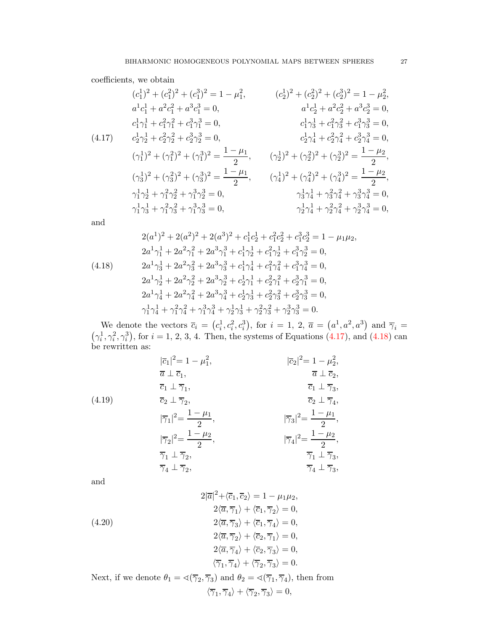coefficients, we obtain

<span id="page-26-0"></span>
$$
(c_1^1)^2 + (c_1^2)^2 + (c_1^3)^2 = 1 - \mu_1^2, \qquad (c_2^1)^2 + (c_2^2)^2 + (c_2^3)^2 = 1 - \mu_2^2, \na^1c_1^1 + a^2c_1^2 + a^3c_1^3 = 0, \qquad a^1c_2^1 + a^2c_2^2 + a^3c_2^3 = 0, \nc_1^1\gamma_1^1 + c_1^2\gamma_1^2 + c_1^3\gamma_1^3 = 0, \qquad c_1^1\gamma_3^1 + c_1^2\gamma_3^2 + c_1^3\gamma_3^3 = 0, \nc_1^1\gamma_3^1 + c_1^2\gamma_3^2 + c_1^3\gamma_3^3 = 0, \nc_1^1\gamma_3^1 + c_1^2\gamma_3^2 + c_1^3\gamma_3^3 = 0, \nc_1^1\gamma_3^1 + c_1^2\gamma_3^2 + c_1^3\gamma_3^3 = 0, \nc_1^1\gamma_3^1 + c_1^2\gamma_3^2 + c_1^3\gamma_3^3 = 0, \nc_1^1\gamma_3^1 + c_1^2\gamma_3^2 + c_1^3\gamma_3^3 = 0, \n(\gamma_3^1)^2 + (\gamma_3^2)^2 + (\gamma_3^3)^2 = \frac{1 - \mu_1}{2}, \qquad (\gamma_3^1)^2 + (\gamma_3^2)^2 + (\gamma_3^3)^2 = \frac{1 - \mu_2}{2}, \n\gamma_1^1\gamma_2^1 + \gamma_1^2\gamma_2^2 + \gamma_1^3\gamma_2^3 = 0, \n\gamma_1^1\gamma_3^1 + \gamma_1^2\gamma_3^2 + \gamma_1^3\gamma_3^3 = 0, \n\gamma_2^1\gamma_4^1 + \gamma_2^2\gamma_4^2 + \gamma_3^3\gamma_4^3 = 0, \n\gamma_2^1\gamma_4^1 + \gamma_2^2\gamma_4^2 + \gamma_2^3\gamma_4^3 = 0,
$$

and

<span id="page-26-1"></span>
$$
2(a^{1})^{2} + 2(a^{2})^{2} + 2(a^{3})^{2} + c_{1}^{1}c_{2}^{1} + c_{1}^{2}c_{2}^{2} + c_{1}^{3}c_{2}^{3} = 1 - \mu_{1}\mu_{2},
$$
  
\n
$$
2a^{1}\gamma_{1}^{1} + 2a^{2}\gamma_{1}^{2} + 2a^{3}\gamma_{1}^{3} + c_{1}^{1}\gamma_{2}^{1} + c_{1}^{2}\gamma_{2}^{1} + c_{1}^{3}\gamma_{2}^{3} = 0,
$$
  
\n
$$
2a^{1}\gamma_{3}^{1} + 2a^{2}\gamma_{3}^{2} + 2a^{3}\gamma_{3}^{3} + c_{1}^{1}\gamma_{4}^{1} + c_{1}^{2}\gamma_{4}^{2} + c_{1}^{3}\gamma_{4}^{3} = 0,
$$
  
\n
$$
2a^{1}\gamma_{2}^{1} + 2a^{2}\gamma_{2}^{2} + 2a^{3}\gamma_{2}^{3} + c_{2}^{1}\gamma_{1}^{1} + c_{2}^{2}\gamma_{1}^{2} + c_{2}^{3}\gamma_{1}^{3} = 0,
$$
  
\n
$$
2a^{1}\gamma_{4}^{1} + 2a^{2}\gamma_{4}^{2} + 2a^{3}\gamma_{4}^{3} + c_{2}^{1}\gamma_{3}^{1} + c_{2}^{2}\gamma_{3}^{2} + c_{2}^{3}\gamma_{3}^{3} = 0,
$$
  
\n
$$
\gamma_{1}^{1}\gamma_{4}^{1} + \gamma_{1}^{2}\gamma_{4}^{2} + \gamma_{1}^{3}\gamma_{4}^{3} + \gamma_{2}^{1}\gamma_{3}^{1} + \gamma_{2}^{2}\gamma_{3}^{2} + \gamma_{2}^{3}\gamma_{3}^{3} = 0.
$$

We denote the vectors  $\overline{c}_i = (c_i^1, c_i^2, c_i^3)$ , for  $i = 1, 2, \overline{a} = (a^1, a^2, a^3)$  and  $\overline{\gamma}_i =$  $(\gamma_i^1, \gamma_i^2, \gamma_i^3)$ , for  $i = 1, 2, 3, 4$ . Then, the systems of Equations [\(4.17\)](#page-26-0), and [\(4.18\)](#page-26-1) can be rewritten as:

(4.19)  
\n
$$
\overline{c}_{1}|^{2} = 1 - \mu_{1}^{2},
$$
\n
$$
\overline{a} \perp \overline{c}_{1},
$$
\n
$$
\overline{c}_{1} \perp \overline{\gamma}_{1},
$$
\n
$$
\overline{c}_{2} \perp \overline{\gamma}_{2},
$$
\n
$$
\overline{c}_{1} \perp \overline{\gamma}_{3},
$$
\n
$$
\overline{c}_{2} \perp \overline{\gamma}_{2},
$$
\n
$$
\overline{c}_{1} \perp \overline{\gamma}_{3},
$$
\n
$$
\overline{c}_{2} \perp \overline{\gamma}_{4},
$$
\n
$$
|\overline{\gamma}_{1}|^{2} = \frac{1 - \mu_{1}}{2},
$$
\n
$$
|\overline{\gamma}_{2}|^{2} = \frac{1 - \mu_{2}}{2},
$$
\n
$$
\overline{\gamma}_{1} \perp \overline{\gamma}_{2},
$$
\n
$$
\overline{\gamma}_{1} \perp \overline{\gamma}_{2},
$$
\n
$$
\overline{\gamma}_{1} \perp \overline{\gamma}_{3},
$$
\n
$$
\overline{\gamma}_{4} \perp \overline{\gamma}_{3},
$$
\n
$$
\overline{\gamma}_{4} \perp \overline{\gamma}_{3},
$$
\n
$$
\overline{\gamma}_{4} \perp \overline{\gamma}_{3},
$$
\n
$$
\overline{\gamma}_{4} \perp \overline{\gamma}_{3},
$$
\n
$$
\overline{\gamma}_{5} \perp \overline{\gamma}_{3},
$$

and

(4.20)  
\n
$$
2|\overline{a}|^2 + \langle \overline{c}_1, \overline{c}_2 \rangle = 1 - \mu_1 \mu_2,
$$
\n
$$
2\langle \overline{a}, \overline{\gamma}_1 \rangle + \langle \overline{c}_1, \overline{\gamma}_2 \rangle = 0,
$$
\n
$$
2\langle \overline{a}, \overline{\gamma}_3 \rangle + \langle \overline{c}_1, \overline{\gamma}_4 \rangle = 0,
$$
\n
$$
2\langle \overline{a}, \overline{\gamma}_2 \rangle + \langle \overline{c}_2, \overline{\gamma}_1 \rangle = 0,
$$
\n
$$
2\langle \overline{a}, \overline{\gamma}_4 \rangle + \langle \overline{c}_2, \overline{\gamma}_3 \rangle = 0,
$$
\n
$$
\langle \overline{\gamma}_1, \overline{\gamma}_4 \rangle + \langle \overline{\gamma}_2, \overline{\gamma}_3 \rangle = 0.
$$

Next, if we denote  $\theta_1 = \langle (\overline{\gamma}_2, \overline{\gamma}_3) \rangle$  and  $\theta_2 = \langle (\overline{\gamma}_1, \overline{\gamma}_4) \rangle$ , then from  $\langle \overline{\gamma}_1, \overline{\gamma}_4 \rangle + \langle \overline{\gamma}_2, \overline{\gamma}_3 \rangle = 0,$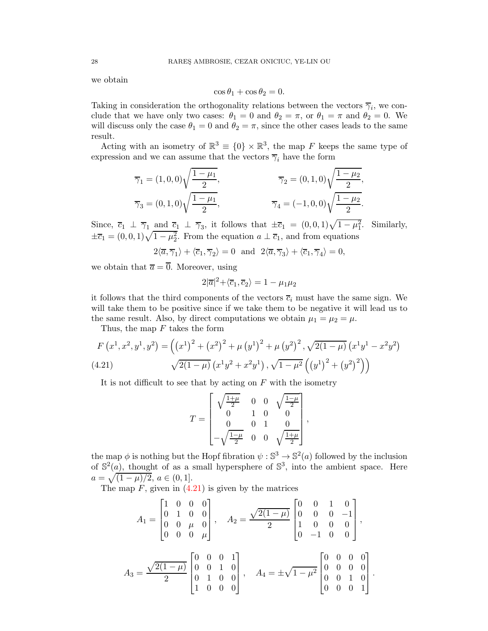we obtain

$$
\cos \theta_1 + \cos \theta_2 = 0.
$$

Taking in consideration the orthogonality relations between the vectors  $\overline{\gamma}_i$ , we conclude that we have only two cases:  $\theta_1 = 0$  and  $\theta_2 = \pi$ , or  $\theta_1 = \pi$  and  $\theta_2 = 0$ . We will discuss only the case  $\theta_1 = 0$  and  $\theta_2 = \pi$ , since the other cases leads to the same result.

Acting with an isometry of  $\mathbb{R}^3 \equiv \{0\} \times \mathbb{R}^3$ , the map F keeps the same type of expression and we can assume that the vectors  $\overline{\gamma}_i$  have the form

$$
\overline{\gamma}_1 = (1, 0, 0) \sqrt{\frac{1 - \mu_1}{2}}, \qquad \overline{\gamma}_2 = (0, 1, 0) \sqrt{\frac{1 - \mu_2}{2}},
$$

$$
\overline{\gamma}_3 = (0, 1, 0) \sqrt{\frac{1 - \mu_1}{2}}, \qquad \overline{\gamma}_4 = (-1, 0, 0) \sqrt{\frac{1 - \mu_2}{2}}.
$$

Since,  $\overline{c}_1 \perp \overline{\gamma}_1$  and  $\overline{c}_1 \perp \overline{\gamma}_3$ , it follows that  $\pm \overline{c}_1 = (0,0,1)\sqrt{1-\mu_1^2}$ . Similarly,  $\pm \overline{c}_1 = (0, 0, 1)\sqrt{1 - \mu_2^2}$ . From the equation  $a \perp \overline{c}_1$ , and from equations

$$
2\langle \overline{a}, \overline{\gamma}_1 \rangle + \langle \overline{c}_1, \overline{\gamma}_2 \rangle = 0 \text{ and } 2\langle \overline{a}, \overline{\gamma}_3 \rangle + \langle \overline{c}_1, \overline{\gamma}_4 \rangle = 0,
$$

we obtain that  $\overline{a} = \overline{0}$ . Moreover, using

$$
2|\overline{a}|^2 + \langle \overline{c}_1, \overline{c}_2 \rangle = 1 - \mu_1 \mu_2
$$

it follows that the third components of the vectors  $\bar{c}_i$  must have the same sign. We will take them to be positive since if we take them to be negative it will lead us to the same result. Also, by direct computations we obtain  $\mu_1 = \mu_2 = \mu$ .

Thus, the map  $F$  takes the form

<span id="page-27-0"></span>
$$
F(x^1, x^2, y^1, y^2) = ((x^1)^2 + (x^2)^2 + \mu (y^1)^2 + \mu (y^2)^2, \sqrt{2(1-\mu)} (x^1y^1 - x^2y^2)
$$
  
(4.21) 
$$
\sqrt{2(1-\mu)} (x^1y^2 + x^2y^1), \sqrt{1-\mu^2} ((y^1)^2 + (y^2)^2))
$$

It is not difficult to see that by acting on  $F$  with the isometry

$$
T = \begin{bmatrix} \sqrt{\frac{1+\mu}{2}} & 0 & 0 & \sqrt{\frac{1-\mu}{2}} \\ 0 & 1 & 0 & 0 \\ 0 & 0 & 1 & 0 \\ -\sqrt{\frac{1-\mu}{2}} & 0 & 0 & \sqrt{\frac{1+\mu}{2}} \end{bmatrix},
$$

the map  $\phi$  is nothing but the Hopf fibration  $\psi : \mathbb{S}^3 \to \mathbb{S}^2(a)$  followed by the inclusion of  $\mathbb{S}^2(a)$ , thought of as a small hypersphere of  $\mathbb{S}^3$ , into the ambient space. Here  $a = \sqrt{(1-\mu)/2}, a \in (0,1].$ 

The map  $F$ , given in  $(4.21)$  is given by the matrices

$$
A_1 = \begin{bmatrix} 1 & 0 & 0 & 0 \\ 0 & 1 & 0 & 0 \\ 0 & 0 & \mu & 0 \\ 0 & 0 & 0 & \mu \end{bmatrix}, \quad A_2 = \frac{\sqrt{2(1-\mu)}}{2} \begin{bmatrix} 0 & 0 & 1 & 0 \\ 0 & 0 & 0 & -1 \\ 1 & 0 & 0 & 0 \\ 0 & -1 & 0 & 0 \end{bmatrix},
$$

$$
A_3 = \frac{\sqrt{2(1-\mu)}}{2} \begin{bmatrix} 0 & 0 & 0 & 1 \\ 0 & 0 & 1 & 0 \\ 0 & 1 & 0 & 0 \\ 1 & 0 & 0 & 0 \end{bmatrix}, \quad A_4 = \pm \sqrt{1-\mu^2} \begin{bmatrix} 0 & 0 & 0 & 0 \\ 0 & 0 & 0 & 0 \\ 0 & 0 & 1 & 0 \\ 0 & 0 & 0 & 1 \end{bmatrix}.
$$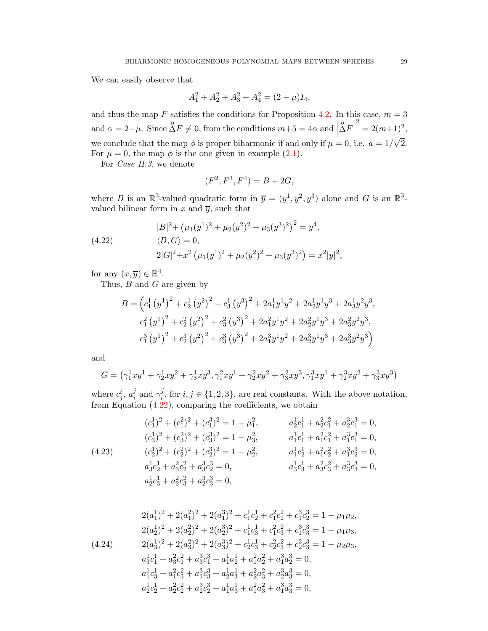We can easily observe that

$$
A_1^2 + A_2^2 + A_3^2 + A_4^2 = (2 - \mu)I_4,
$$

and thus the map F satisfies the conditions for Proposition [4.2.](#page-14-1) In this case,  $m = 3$ and  $\alpha = 2 - \mu$ . Since  $\stackrel{o}{\Delta} F \neq 0$ , from the conditions  $m+5 = 4\alpha$  and  $\Box$  $\Delta F$  $2^2 = 2(m+1)^2$ , we conclude that the map  $\phi$  is proper biharmonic if and only if  $\mu = 0$ , i.e.  $a = 1/\sqrt{2}$ . For  $\mu = 0$ , the map  $\phi$  is the one given in example [\(2.1\)](#page-2-2).

For *Case II.3*, we denote

$$
(F^2, F^3, F^4) = B + 2G,
$$

where B is an  $\mathbb{R}^3$ -valued quadratic form in  $\overline{y} = (y^1, y^2, y^3)$  alone and G is an  $\mathbb{R}^3$ valued bilinear form in  $x$  and  $\overline{y}$ , such that

<span id="page-28-0"></span>(4.22) 
$$
|B|^2 + (\mu_1(y^1)^2 + \mu_2(y^2)^2 + \mu_3(y^3)^2)^2 = y^4,
$$

$$
\langle B, G \rangle = 0,
$$

$$
2|G|^2 + x^2 (\mu_1(y^1)^2 + \mu_2(y^2)^2 + \mu_3(y^3)^2) = x^2|y|^2,
$$

for any  $(x, \overline{y}) \in \mathbb{R}^4$ .

Thus,  $\overrightarrow{B}$  and  $\overrightarrow{G}$  are given by

$$
B = \left(c_1^1 (y^1)^2 + c_2^1 (y^2)^2 + c_3^1 (y^3)^2 + 2a_1^1 y^1 y^2 + 2a_2^1 y^1 y^3 + 2a_3^1 y^2 y^3, c_1^2 (y^1)^2 + c_2^2 (y^2)^2 + c_3^2 (y^3)^2 + 2a_1^2 y^1 y^2 + 2a_2^2 y^1 y^3 + 2a_3^2 y^2 y^3, c_1^3 (y^1)^2 + c_2^3 (y^2)^2 + c_3^3 (y^3)^2 + 2a_1^3 y^1 y^2 + 2a_2^3 y^1 y^3 + 2a_3^3 y^2 y^3\right)
$$

and

$$
G = (\gamma_1^1 xy^1 + \gamma_2^1 xy^2 + \gamma_3^1 xy^3, \gamma_1^2 xy^1 + \gamma_2^2 xy^2 + \gamma_3^2 xy^3, \gamma_1^3 xy^1 + \gamma_2^3 xy^2 + \gamma_3^3 xy^3)
$$

where  $c_j^i$ ,  $a_i^j$  $i$  and  $\gamma_i^j$  $i<sub>i</sub>$ , for  $i, j \in \{1, 2, 3\}$ , are real constants. With the above notation, from Equation [\(4.22\)](#page-28-0), comparing the coefficients, we obtain

<span id="page-28-1"></span>(4.23)  
\n
$$
(c_1^1)^2 + (c_1^2)^2 + (c_1^3)^2 = 1 - \mu_1^2, \qquad a_2^1 c_1^1 + a_2^2 c_1^2 + a_2^3 c_1^3 = 0,
$$
\n
$$
(c_3^1)^2 + (c_3^2)^2 + (c_3^3)^2 = 1 - \mu_3^2, \qquad a_1^1 c_1^1 + a_1^2 c_1^2 + a_1^3 c_1^3 = 0,
$$
\n
$$
(c_2^1)^2 + (c_2^2)^2 + (c_2^3)^2 = 1 - \mu_2^2, \qquad a_1^1 c_2^1 + a_1^2 c_2^2 + a_1^3 c_2^3 = 0,
$$
\n
$$
a_3^1 c_2^1 + a_3^2 c_2^2 + a_3^3 c_2^3 = 0, \qquad a_3^1 c_3^1 + a_3^2 c_3^2 + a_3^3 c_3^3 = 0,
$$
\n
$$
a_2^1 c_3^1 + a_2^2 c_3^2 + a_2^3 c_3^3 = 0,
$$

<span id="page-28-2"></span>
$$
2(a_1^1)^2 + 2(a_1^2)^2 + 2(a_1^3)^2 + c_1^1c_2^1 + c_1^2c_2^2 + c_1^3c_2^3 = 1 - \mu_1\mu_2,
$$
  
\n
$$
2(a_2^1)^2 + 2(a_2^2)^2 + 2(a_2^3)^2 + c_1^1c_3^1 + c_1^2c_3^2 + c_1^3c_3^3 = 1 - \mu_1\mu_3,
$$
  
\n
$$
2(a_3^1)^2 + 2(a_3^2)^2 + 2(a_3^3)^2 + c_2^1c_3^1 + c_2^2c_3^2 + c_2^3c_3^3 = 1 - \mu_2\mu_3,
$$
  
\n
$$
a_3^1c_1^1 + a_3^2c_1^2 + a_3^3c_1^3 + a_1^1a_2^1 + a_1^2a_2^2 + a_1^3a_2^3 = 0,
$$
  
\n
$$
a_1^1c_3^1 + a_1^2c_3^2 + a_1^3c_3^3 + a_2^1a_3^1 + a_2^2a_3^2 + a_2^3a_3^3 = 0,
$$
  
\n
$$
a_2^1c_2^1 + a_2^2c_2^2 + a_2^3c_2^3 + a_1^1a_3^1 + a_1^2a_3^2 + a_1^3a_3^3 = 0,
$$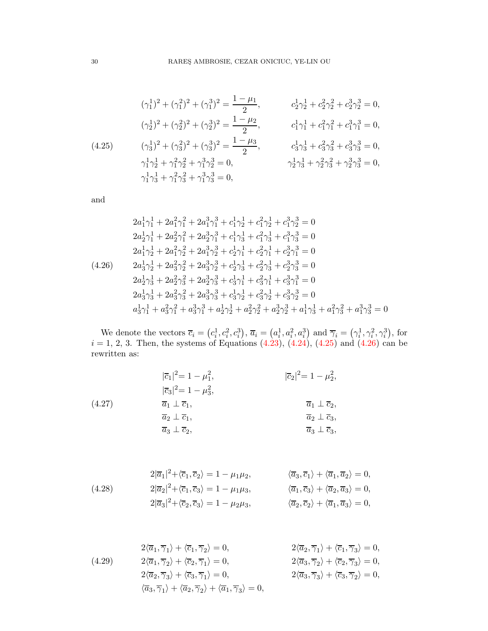<span id="page-29-0"></span>
$$
(\gamma_1^1)^2 + (\gamma_1^2)^2 + (\gamma_1^3)^2 = \frac{1 - \mu_1}{2}, \qquad c_2^1 \gamma_2^1 + c_2^2 \gamma_2^2 + c_2^3 \gamma_2^3 = 0,
$$
  

$$
(\gamma_2^1)^2 + (\gamma_2^2)^2 + (\gamma_2^3)^2 = \frac{1 - \mu_2}{2}, \qquad c_1^1 \gamma_1^1 + c_1^2 \gamma_1^2 + c_1^3 \gamma_1^3 = 0,
$$
  

$$
(\gamma_3^1)^2 + (\gamma_3^2)^2 + (\gamma_3^3)^2 = \frac{1 - \mu_3}{2}, \qquad c_3^1 \gamma_3^1 + c_3^2 \gamma_3^2 + c_3^3 \gamma_3^3 = 0,
$$
  

$$
\gamma_1^1 \gamma_2^1 + \gamma_1^2 \gamma_2^2 + \gamma_1^3 \gamma_2^3 = 0,
$$
  

$$
\gamma_1^1 \gamma_3^1 + \gamma_1^2 \gamma_3^2 + \gamma_1^3 \gamma_3^3 = 0,
$$
  

$$
\gamma_1^1 \gamma_3^1 + \gamma_1^2 \gamma_3^2 + \gamma_1^3 \gamma_3^3 = 0,
$$

and

<span id="page-29-1"></span>
$$
2a_1^1 \gamma_1^1 + 2a_1^2 \gamma_1^2 + 2a_1^3 \gamma_1^3 + c_1^1 \gamma_2^1 + c_1^2 \gamma_2^1 + c_1^3 \gamma_2^3 = 0
$$
  
\n
$$
2a_2^1 \gamma_1^1 + 2a_2^2 \gamma_1^2 + 2a_2^3 \gamma_1^3 + c_1^1 \gamma_3^1 + c_1^2 \gamma_3^1 + c_1^3 \gamma_3^3 = 0
$$
  
\n
$$
2a_1^1 \gamma_2^1 + 2a_1^2 \gamma_2^2 + 2a_1^3 \gamma_2^3 + c_2^1 \gamma_1^1 + c_2^2 \gamma_1^1 + c_2^3 \gamma_1^3 = 0
$$
  
\n
$$
2a_3^1 \gamma_2^1 + 2a_3^2 \gamma_2^2 + 2a_3^3 \gamma_2^3 + c_2^1 \gamma_3^1 + c_2^2 \gamma_3^1 + c_2^3 \gamma_3^3 = 0
$$
  
\n
$$
2a_2^1 \gamma_3^1 + 2a_2^2 \gamma_3^2 + 2a_2^3 \gamma_3^3 + c_3^1 \gamma_1^1 + c_3^2 \gamma_1^1 + c_3^3 \gamma_1^3 = 0
$$
  
\n
$$
2a_3^1 \gamma_3^1 + 2a_3^2 \gamma_3^2 + 2a_3^3 \gamma_3^3 + c_3^1 \gamma_2^1 + c_3^2 \gamma_2^1 + c_3^3 \gamma_2^3 = 0
$$
  
\n
$$
a_3^1 \gamma_1^1 + a_3^2 \gamma_1^2 + a_3^3 \gamma_1^3 + a_2^1 \gamma_2^1 + a_2^2 \gamma_2^2 + a_2^3 \gamma_2^3 + a_1^1 \gamma_3^1 + a_1^2 \gamma_3^2 + a_1^3 \gamma_3^3 = 0
$$

We denote the vectors  $\overline{c}_i = (c_i^1, c_i^2, c_i^3), \overline{a}_i = (a_i^1, a_i^2, a_i^3)$  and  $\overline{\gamma}_i = (\gamma_i^1, \gamma_i^2, \gamma_i^3)$ , for  $i = 1, 2, 3$ . Then, the systems of Equations  $(4.23), (4.24), (4.25)$  $(4.23), (4.24), (4.25)$  $(4.23), (4.24), (4.25)$  $(4.23), (4.24), (4.25)$  and  $(4.26)$  can be rewritten as:

<span id="page-29-2"></span>(4.27)  
\n
$$
\begin{aligned}\n|\overline{c}_{1}|^{2} &= 1 - \mu_{1}^{2}, & |\overline{c}_{2}|^{2} &= 1 - \mu_{2}^{2}, \\
|\overline{c}_{3}|^{2} &= 1 - \mu_{3}^{2}, & \overline{a}_{1} \perp \overline{c}_{1}, & \overline{a}_{1} \perp \overline{c}_{2}, \\
\overline{a}_{2} \perp \overline{c}_{1}, & \overline{a}_{2} \perp \overline{c}_{3}, \\
\overline{a}_{3} \perp \overline{c}_{2}, & \overline{a}_{3} \perp \overline{c}_{3},\n\end{aligned}
$$

<span id="page-29-4"></span>(4.28) 
$$
2|\overline{a}_1|^2 + \langle \overline{c}_1, \overline{c}_2 \rangle = 1 - \mu_1 \mu_2, \qquad \langle \overline{a}_3, \overline{c}_1 \rangle + \langle \overline{a}_1, \overline{a}_2 \rangle = 0, 2|\overline{a}_2|^2 + \langle \overline{c}_1, \overline{c}_3 \rangle = 1 - \mu_1 \mu_3, \qquad \langle \overline{a}_1, \overline{c}_3 \rangle + \langle \overline{a}_2, \overline{a}_3 \rangle = 0, 2|\overline{a}_3|^2 + \langle \overline{c}_2, \overline{c}_3 \rangle = 1 - \mu_2 \mu_3, \qquad \langle \overline{a}_2, \overline{c}_2 \rangle + \langle \overline{a}_1, \overline{a}_3 \rangle = 0,
$$

<span id="page-29-3"></span>(4.29) 
$$
2\langle \overline{a}_1, \overline{\gamma}_1 \rangle + \langle \overline{c}_1, \overline{\gamma}_2 \rangle = 0, \qquad 2\langle \overline{a}_2, \overline{\gamma}_1 \rangle + \langle \overline{c}_1, \overline{\gamma}_3 \rangle = 0,
$$

$$
2\langle \overline{a}_1, \overline{\gamma}_2 \rangle + \langle \overline{c}_2, \overline{\gamma}_1 \rangle = 0, \qquad 2\langle \overline{a}_3, \overline{\gamma}_2 \rangle + \langle \overline{c}_2, \overline{\gamma}_3 \rangle = 0,
$$

$$
2\langle \overline{a}_2, \overline{\gamma}_3 \rangle + \langle \overline{c}_3, \overline{\gamma}_1 \rangle = 0, \qquad 2\langle \overline{a}_3, \overline{\gamma}_3 \rangle + \langle \overline{c}_3, \overline{\gamma}_2 \rangle = 0,
$$

$$
\langle \overline{a}_3, \overline{\gamma}_1 \rangle + \langle \overline{a}_2, \overline{\gamma}_2 \rangle + \langle \overline{a}_1, \overline{\gamma}_3 \rangle = 0,
$$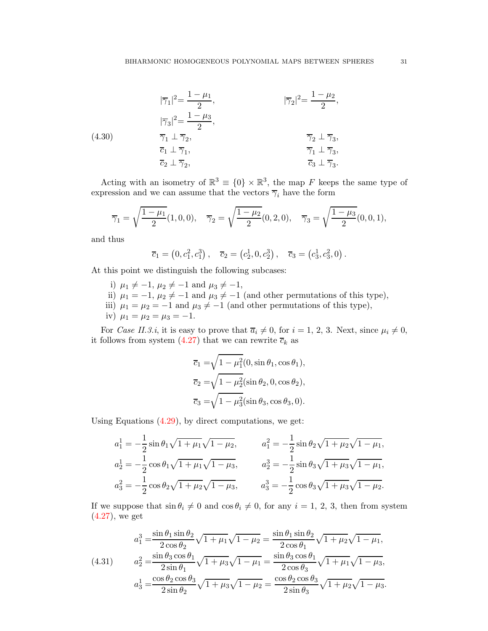<span id="page-30-1"></span>(4.30)  
\n
$$
|\overline{\gamma}_1|^2 = \frac{1 - \mu_1}{2},
$$
\n
$$
|\overline{\gamma}_3|^2 = \frac{1 - \mu_3}{2},
$$
\n
$$
\overline{\gamma}_1 \perp \overline{\gamma}_2,
$$
\n
$$
\overline{c}_1 \perp \overline{\gamma}_1,
$$
\n
$$
\overline{c}_2 \perp \overline{\gamma}_2,
$$
\n
$$
\overline{c}_3 \perp \overline{\gamma}_3,
$$
\n
$$
\overline{c}_3 \perp \overline{\gamma}_3,
$$
\n
$$
\overline{c}_3 \perp \overline{\gamma}_3,
$$

Acting with an isometry of  $\mathbb{R}^3 \equiv \{0\} \times \mathbb{R}^3$ , the map F keeps the same type of expression and we can assume that the vectors  $\overline{\gamma}_i$  have the form

$$
\overline{\gamma}_1 = \sqrt{\frac{1-\mu_1}{2}} (1,0,0), \quad \overline{\gamma}_2 = \sqrt{\frac{1-\mu_2}{2}} (0,2,0), \quad \overline{\gamma}_3 = \sqrt{\frac{1-\mu_3}{2}} (0,0,1),
$$

and thus

$$
\overline{c}_1 = (0, c_1^2, c_1^3), \quad \overline{c}_2 = (c_2^1, 0, c_2^3), \quad \overline{c}_3 = (c_3^1, c_3^2, 0).
$$

At this point we distinguish the following subcases:

- i)  $\mu_1 \neq -1$ ,  $\mu_2 \neq -1$  and  $\mu_3 \neq -1$ ,
- ii)  $\mu_1 = -1$ ,  $\mu_2 \neq -1$  and  $\mu_3 \neq -1$  (and other permutations of this type),
- iii)  $\mu_1 = \mu_2 = -1$  and  $\mu_3 \neq -1$  (and other permutations of this type),
- iv)  $\mu_1 = \mu_2 = \mu_3 = -1$ .

For *Case II.3.i*, it is easy to prove that  $\overline{a_i} \neq 0$ , for  $i = 1, 2, 3$ . Next, since  $\mu_i \neq 0$ , it follows from system [\(4.27\)](#page-29-2) that we can rewrite  $\overline{c}_k$  as

$$
\overline{c}_1 = \sqrt{1 - \mu_1^2} (0, \sin \theta_1, \cos \theta_1),
$$
  
\n
$$
\overline{c}_2 = \sqrt{1 - \mu_2^2} (\sin \theta_2, 0, \cos \theta_2),
$$
  
\n
$$
\overline{c}_3 = \sqrt{1 - \mu_3^2} (\sin \theta_3, \cos \theta_3, 0).
$$

Using Equations [\(4.29\)](#page-29-3), by direct computations, we get:

$$
a_1^1 = -\frac{1}{2}\sin\theta_1\sqrt{1+\mu_1}\sqrt{1-\mu_2}, \qquad a_1^2 = -\frac{1}{2}\sin\theta_2\sqrt{1+\mu_2}\sqrt{1-\mu_1},
$$
  
\n
$$
a_2^1 = -\frac{1}{2}\cos\theta_1\sqrt{1+\mu_1}\sqrt{1-\mu_3}, \qquad a_2^2 = -\frac{1}{2}\sin\theta_3\sqrt{1+\mu_3}\sqrt{1-\mu_1},
$$
  
\n
$$
a_3^2 = -\frac{1}{2}\cos\theta_2\sqrt{1+\mu_2}\sqrt{1-\mu_3}, \qquad a_3^3 = -\frac{1}{2}\cos\theta_3\sqrt{1+\mu_3}\sqrt{1-\mu_2}.
$$

If we suppose that  $\sin \theta_i \neq 0$  and  $\cos \theta_i \neq 0$ , for any  $i = 1, 2, 3$ , then from system  $(4.27)$ , we get

<span id="page-30-0"></span>(4.31) 
$$
a_1^3 = \frac{\sin \theta_1 \sin \theta_2}{2 \cos \theta_2} \sqrt{1 + \mu_1} \sqrt{1 - \mu_2} = \frac{\sin \theta_1 \sin \theta_2}{2 \cos \theta_1} \sqrt{1 + \mu_2} \sqrt{1 - \mu_1},
$$

$$
a_2^2 = \frac{\sin \theta_3 \cos \theta_1}{2 \sin \theta_1} \sqrt{1 + \mu_3} \sqrt{1 - \mu_1} = \frac{\sin \theta_3 \cos \theta_1}{2 \cos \theta_3} \sqrt{1 + \mu_1} \sqrt{1 - \mu_3},
$$

$$
a_3^1 = \frac{\cos \theta_2 \cos \theta_3}{2 \sin \theta_2} \sqrt{1 + \mu_3} \sqrt{1 - \mu_2} = \frac{\cos \theta_2 \cos \theta_3}{2 \sin \theta_3} \sqrt{1 + \mu_2} \sqrt{1 - \mu_3}.
$$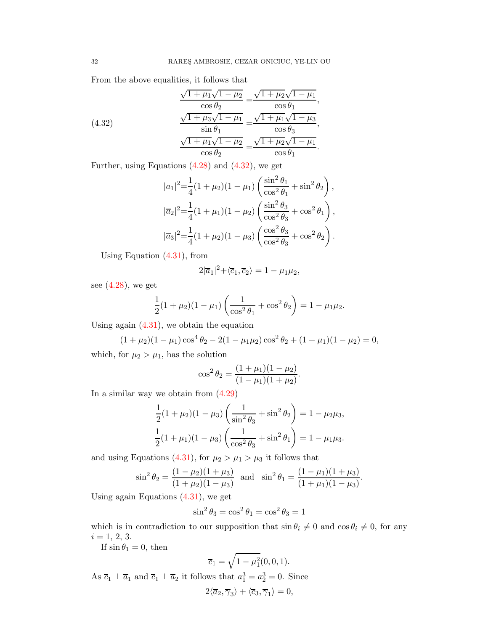From the above equalities, it follows that

<span id="page-31-0"></span>(4.32) 
$$
\frac{\sqrt{1 + \mu_1}\sqrt{1 - \mu_2}}{\cos \theta_2} = \frac{\sqrt{1 + \mu_2}\sqrt{1 - \mu_1}}{\cos \theta_1},
$$

$$
\frac{\sqrt{1 + \mu_3}\sqrt{1 - \mu_1}}{\sin \theta_1} = \frac{\sqrt{1 + \mu_1}\sqrt{1 - \mu_3}}{\cos \theta_3},
$$

$$
\frac{\sqrt{1 + \mu_1}\sqrt{1 - \mu_2}}{\cos \theta_2} = \frac{\sqrt{1 + \mu_2}\sqrt{1 - \mu_1}}{\cos \theta_1}.
$$

Further, using Equations  $(4.28)$  and  $(4.32)$ , we get

$$
|\overline{a}_1|^2 = \frac{1}{4}(1+\mu_2)(1-\mu_1)\left(\frac{\sin^2\theta_1}{\cos^2\theta_1} + \sin^2\theta_2\right),
$$
  

$$
|\overline{a}_2|^2 = \frac{1}{4}(1+\mu_1)(1-\mu_2)\left(\frac{\sin^2\theta_3}{\cos^2\theta_3} + \cos^2\theta_1\right),
$$
  

$$
|\overline{a}_3|^2 = \frac{1}{4}(1+\mu_2)(1-\mu_3)\left(\frac{\cos^2\theta_3}{\cos^2\theta_3} + \cos^2\theta_2\right).
$$

Using Equation [\(4.31\)](#page-30-0), from

$$
2|\overline{a}_1|^2 + \langle \overline{c}_1, \overline{c}_2 \rangle = 1 - \mu_1 \mu_2,
$$

see  $(4.28)$ , we get

$$
\frac{1}{2}(1+\mu_2)(1-\mu_1)\left(\frac{1}{\cos^2\theta_1}+\cos^2\theta_2\right)=1-\mu_1\mu_2.
$$

Using again  $(4.31)$ , we obtain the equation

$$
(1 + \mu_2)(1 - \mu_1)\cos^4\theta_2 - 2(1 - \mu_1\mu_2)\cos^2\theta_2 + (1 + \mu_1)(1 - \mu_2) = 0,
$$

which, for  $\mu_2 > \mu_1$ , has the solution

$$
\cos^2 \theta_2 = \frac{(1 + \mu_1)(1 - \mu_2)}{(1 - \mu_1)(1 + \mu_2)}.
$$

In a similar way we obtain from [\(4.29\)](#page-29-3)

$$
\frac{1}{2}(1+\mu_2)(1-\mu_3)\left(\frac{1}{\sin^2\theta_3}+\sin^2\theta_2\right) = 1-\mu_2\mu_3,
$$
  

$$
\frac{1}{2}(1+\mu_1)(1-\mu_3)\left(\frac{1}{\cos^2\theta_3}+\sin^2\theta_1\right) = 1-\mu_1\mu_3.
$$

and using Equations [\(4.31\)](#page-30-0), for  $\mu_2 > \mu_1 > \mu_3$  it follows that

$$
\sin^2 \theta_2 = \frac{(1 - \mu_2)(1 + \mu_3)}{(1 + \mu_2)(1 - \mu_3)}
$$
 and  $\sin^2 \theta_1 = \frac{(1 - \mu_1)(1 + \mu_3)}{(1 + \mu_1)(1 - \mu_3)}$ .

Using again Equations [\(4.31\)](#page-30-0), we get

$$
\sin^2 \theta_3 = \cos^2 \theta_1 = \cos^2 \theta_3 = 1
$$

which is in contradiction to our supposition that  $\sin \theta_i \neq 0$  and  $\cos \theta_i \neq 0$ , for any  $i = 1, 2, 3.$ 

If  $\sin \theta_1 = 0$ , then

$$
\overline{c}_1 = \sqrt{1 - \mu_1^2}(0, 0, 1).
$$

As  $\overline{c}_1 \perp \overline{a}_1$  and  $\overline{c}_1 \perp \overline{a}_2$  it follows that  $a_1^3 = a_2^3 = 0$ . Since

$$
2\langle \overline{a}_2, \overline{\gamma}_3 \rangle + \langle \overline{c}_3, \overline{\gamma}_1 \rangle = 0,
$$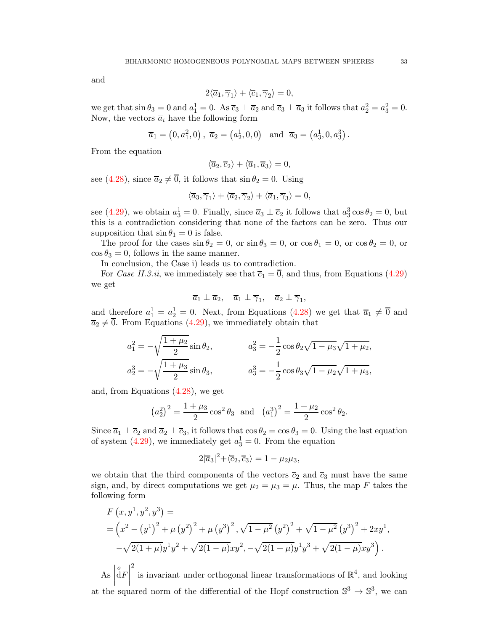and

$$
2\langle \overline{a}_1, \overline{\gamma}_1 \rangle + \langle \overline{c}_1, \overline{\gamma}_2 \rangle = 0,
$$

we get that  $\sin \theta_3 = 0$  and  $a_1^1 = 0$ . As  $\overline{c}_3 \perp \overline{a}_2$  and  $\overline{c}_3 \perp \overline{a}_3$  it follows that  $a_2^2 = a_3^2 = 0$ . Now, the vectors  $\overline{a}_i$  have the following form

$$
\overline{a}_1 = (0, a_1^2, 0), \overline{a}_2 = (a_2^1, 0, 0)
$$
 and  $\overline{a}_3 = (a_3^1, 0, a_3^3)$ .

From the equation

$$
\langle \overline{a}_2, \overline{c}_2 \rangle + \langle \overline{a}_1, \overline{a}_3 \rangle = 0,
$$

see [\(4.28\)](#page-29-4), since  $\overline{a_2} \neq \overline{0}$ , it follows that  $\sin \theta_2 = 0$ . Using

$$
\langle \overline{a}_3, \overline{\gamma}_1 \rangle + \langle \overline{a}_2, \overline{\gamma}_2 \rangle + \langle \overline{a}_1, \overline{\gamma}_3 \rangle = 0,
$$

see [\(4.29\)](#page-29-3), we obtain  $a_3^1 = 0$ . Finally, since  $\overline{a}_3 \perp \overline{c}_2$  it follows that  $a_3^3 \cos \theta_2 = 0$ , but this is a contradiction considering that none of the factors can be zero. Thus our supposition that  $\sin \theta_1 = 0$  is false.

The proof for the cases  $\sin \theta_2 = 0$ , or  $\sin \theta_3 = 0$ , or  $\cos \theta_1 = 0$ , or  $\cos \theta_2 = 0$ , or  $\cos \theta_3 = 0$ , follows in the same manner.

In conclusion, the Case i) leads us to contradiction.

For *Case II.3.ii*, we immediately see that  $\overline{c}_1 = \overline{0}$ , and thus, from Equations [\(4.29\)](#page-29-3) we get

$$
\overline{a}_1 \perp \overline{a}_2
$$
,  $\overline{a}_1 \perp \overline{\gamma}_1$ ,  $\overline{a}_2 \perp \overline{\gamma}_1$ ,

and therefore  $a_1^1 = a_2^1 = 0$ . Next, from Equations [\(4.28\)](#page-29-4) we get that  $\overline{a}_1 \neq \overline{0}$  and  $\overline{a_2} \neq \overline{0}$ . From Equations [\(4.29\)](#page-29-3), we immediately obtain that

$$
a_1^2 = -\sqrt{\frac{1+\mu_2}{2}} \sin \theta_2, \qquad a_3^2 = -\frac{1}{2} \cos \theta_2 \sqrt{1-\mu_3} \sqrt{1+\mu_2},
$$
  

$$
a_2^3 = -\sqrt{\frac{1+\mu_3}{2}} \sin \theta_3, \qquad a_3^3 = -\frac{1}{2} \cos \theta_3 \sqrt{1-\mu_2} \sqrt{1+\mu_3},
$$

and, from Equations [\(4.28\)](#page-29-4), we get

$$
(a_2^2)^2 = \frac{1+\mu_3}{2} \cos^2 \theta_3
$$
 and  $(a_1^3)^2 = \frac{1+\mu_2}{2} \cos^2 \theta_2$ .

Since  $\overline{a}_1 \perp \overline{c}_2$  and  $\overline{a}_2 \perp \overline{c}_3$ , it follows that  $\cos \theta_2 = \cos \theta_3 = 0$ . Using the last equation of system  $(4.29)$ , we immediately get  $a_3^1 = 0$ . From the equation

$$
2|\overline{a}_3|^2 + \langle \overline{c}_2, \overline{c}_3 \rangle = 1 - \mu_2 \mu_3,
$$

we obtain that the third components of the vectors  $\overline{c}_2$  and  $\overline{c}_3$  must have the same sign, and, by direct computations we get  $\mu_2 = \mu_3 = \mu$ . Thus, the map F takes the following form

$$
F(x, y^1, y^2, y^3) =
$$
  
=  $\left(x^2 - (y^1)^2 + \mu (y^2)^2 + \mu (y^3)^2, \sqrt{1 - \mu^2} (y^2)^2 + \sqrt{1 - \mu^2} (y^3)^2 + 2xy^1, -\sqrt{2(1 + \mu)}y^1y^2 + \sqrt{2(1 - \mu)}xy^2, -\sqrt{2(1 + \mu)}y^1y^3 + \sqrt{2(1 - \mu)}xy^3\right).$ 

 $\mathbf{A}\mathbf{s}$ at the squared norm of the differential of the Hopf construction  $\mathbb{S}^3 \to \mathbb{S}^3$ , we can  $\frac{1}{\mathrm{d}F}$ 2 is invariant under orthogonal linear transformations of  $\mathbb{R}^4$ , and looking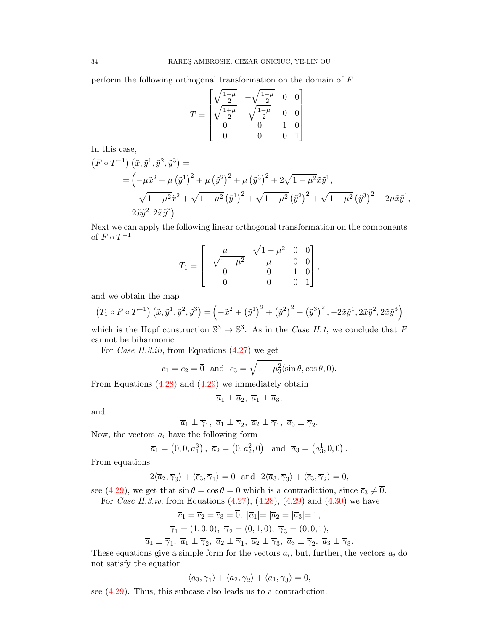perform the following orthogonal transformation on the domain of F

$$
T = \begin{bmatrix} \sqrt{\frac{1-\mu}{2}} & -\sqrt{\frac{1+\mu}{2}} & 0 & 0\\ \sqrt{\frac{1+\mu}{2}} & \sqrt{\frac{1-\mu}{2}} & 0 & 0\\ 0 & 0 & 1 & 0\\ 0 & 0 & 0 & 1 \end{bmatrix}.
$$

In this case,

$$
(F \circ T^{-1}) (\tilde{x}, \tilde{y}^1, \tilde{y}^2, \tilde{y}^3) =
$$
  
=  $(-\mu \tilde{x}^2 + \mu (\tilde{y}^1)^2 + \mu (\tilde{y}^2)^2 + \mu (\tilde{y}^3)^2 + 2\sqrt{1 - \mu^2} \tilde{x} \tilde{y}^1,$   
 $-\sqrt{1 - \mu^2} \tilde{x}^2 + \sqrt{1 - \mu^2} (\tilde{y}^1)^2 + \sqrt{1 - \mu^2} (\tilde{y}^2)^2 + \sqrt{1 - \mu^2} (\tilde{y}^3)^2 - 2\mu \tilde{x} \tilde{y}^1,$   
 $2\tilde{x} \tilde{y}^2, 2\tilde{x} \tilde{y}^3)$ 

Next we can apply the following linear orthogonal transformation on the components of  $F \circ T^{-1}$ 

$$
T_1 = \begin{bmatrix} \mu & \sqrt{1-\mu^2} & 0 & 0 \\ -\sqrt{1-\mu^2} & \mu & 0 & 0 \\ 0 & 0 & 1 & 0 \\ 0 & 0 & 0 & 1 \end{bmatrix},
$$

and we obtain the map

$$
(T_1 \circ F \circ T^{-1}) (\tilde{x}, \tilde{y}^1, \tilde{y}^2, \tilde{y}^3) = \left(-\tilde{x}^2 + (\tilde{y}^1)^2 + (\tilde{y}^2)^2 + (\tilde{y}^3)^2, -2\tilde{x}\tilde{y}^1, 2\tilde{x}\tilde{y}^2, 2\tilde{x}\tilde{y}^3\right)
$$

which is the Hopf construction  $\mathbb{S}^3 \to \mathbb{S}^3$ . As in the *Case II.1*, we conclude that F cannot be biharmonic.

For *Case II.3.iii*, from Equations [\(4.27\)](#page-29-2) we get

$$
\overline{c}_1 = \overline{c}_2 = \overline{0}
$$
 and  $\overline{c}_3 = \sqrt{1 - \mu_3^2} (\sin \theta, \cos \theta, 0).$ 

From Equations [\(4.28\)](#page-29-4) and [\(4.29\)](#page-29-3) we immediately obtain

$$
\overline{a}_1 \perp \overline{a}_2, \ \overline{a}_1 \perp \overline{a}_3,
$$

and

$$
\overline{a}_1 \perp \overline{\gamma}_1
$$
,  $\overline{a}_1 \perp \overline{\gamma}_2$ ,  $\overline{a}_2 \perp \overline{\gamma}_1$ ,  $\overline{a}_3 \perp \overline{\gamma}_2$ .

Now, the vectors  $\overline{a}_i$  have the following form

$$
\overline{a}_1 = (0, 0, a_1^3), \ \overline{a}_2 = (0, a_2^2, 0)
$$
 and  $\overline{a}_3 = (a_3^1, 0, 0)$ .

From equations

$$
2\langle \overline{a}_2, \overline{\gamma}_3 \rangle + \langle \overline{c}_3, \overline{\gamma}_1 \rangle = 0 \text{ and } 2\langle \overline{a}_3, \overline{\gamma}_3 \rangle + \langle \overline{c}_3, \overline{\gamma}_2 \rangle = 0,
$$

see [\(4.29\)](#page-29-3), we get that  $\sin \theta = \cos \theta = 0$  which is a contradiction, since  $\overline{c}_3 \neq \overline{0}$ . For *Case II.3.iv*, from Equations [\(4.27\)](#page-29-2), [\(4.28\)](#page-29-4), [\(4.29\)](#page-29-3) and [\(4.30\)](#page-30-1) we have

$$
\overline{c}_1 = \overline{c}_2 = \overline{c}_3 = \overline{0}, \ |\overline{a}_1| = |\overline{a}_2| = |\overline{a}_3| = 1, \n\overline{\gamma}_1 = (1, 0, 0), \ \overline{\gamma}_2 = (0, 1, 0), \ \overline{\gamma}_3 = (0, 0, 1), \n\overline{a}_1 \perp \overline{\gamma}_1, \ \overline{a}_1 \perp \overline{\gamma}_2, \ \overline{a}_2 \perp \overline{\gamma}_1, \ \overline{a}_2 \perp \overline{\gamma}_3, \ \overline{a}_3 \perp \overline{\gamma}_2, \ \overline{a}_3 \perp \overline{\gamma}_3.
$$

These equations give a simple form for the vectors  $\overline{a}_i$ , but, further, the vectors  $\overline{a}_i$  do not satisfy the equation

$$
\langle \overline{a}_3, \overline{\gamma}_1 \rangle + \langle \overline{a}_2, \overline{\gamma}_2 \rangle + \langle \overline{a}_1, \overline{\gamma}_3 \rangle = 0,
$$

see [\(4.29\)](#page-29-3). Thus, this subcase also leads us to a contradiction.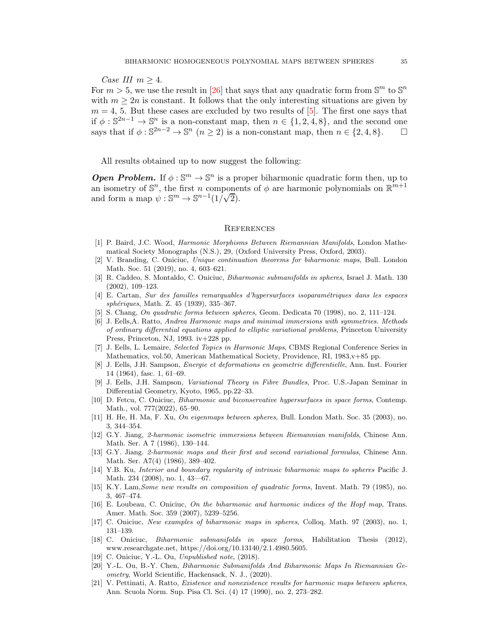*Case III*  $m \geq 4$ .

For  $m > 5$ , we use the result in [\[26\]](#page-35-3) that says that any quadratic form from  $\mathbb{S}^m$  to  $\mathbb{S}^n$ with  $m \geq 2n$  is constant. It follows that the only interesting situations are given by  $m = 4$ , 5. But these cases are excluded by two results of  $[5]$ . The first one says that if  $\phi : \mathbb{S}^{2n-1} \to \mathbb{S}^n$  is a non-constant map, then  $n \in \{1, 2, 4, 8\}$ , and the second one says that if  $\phi : \mathbb{S}^{2n-2} \to \mathbb{S}^n$   $(n \ge 2)$  is a non-constant map, then  $n \in \{2, 4, 8\}$ .  $\Box$ 

All results obtained up to now suggest the following:

**Open Problem.** If  $\phi : \mathbb{S}^m \to \mathbb{S}^n$  is a proper biharmonic quadratic form then, up to an isometry of  $\mathbb{S}^n$ , the first n components of  $\phi$  are harmonic polynomials on  $\mathbb{R}^{m+1}$ and form a map  $\psi : \mathbb{S}^m \to \mathbb{S}^{n-1}(1/\sqrt{2})$ .

#### **REFERENCES**

- <span id="page-34-9"></span>[1] P. Baird, J.C. Wood, Harmonic Morphisms Between Riemannian Manifolds, London Mathematical Society Monographs (N.S.), 29, (Oxford University Press, Oxford, 2003).
- <span id="page-34-19"></span>[2] V. Branding, C. Oniciuc, Unique continuation theorems for biharmonic maps, Bull. London Math. Soc. 51 (2019), no. 4, 603–621.
- <span id="page-34-16"></span>[3] R. Caddeo, S. Montaldo, C. Oniciuc, Biharmonic submanifolds in spheres, Israel J. Math. 130 (2002), 109–123.
- <span id="page-34-17"></span>[4] E. Cartan, Sur des familles remarquables d'hypersurfaces isoparam´etriques dans les espaces sphériques, Math. Z. 45 (1939), 335–367.
- <span id="page-34-15"></span><span id="page-34-10"></span>[5] S. Chang, On quadratic forms between spheres, Geom. Dedicata 70 (1998), no. 2, 111–124.
- [6] J. Eells,A. Ratto, Andrea Harmonic maps and minimal immersions with symmetries. Methods of ordinary differential equations applied to elliptic variational problems, Princeton University Press, Princeton, NJ, 1993. iv+228 pp.
- <span id="page-34-2"></span>[7] J. Eells, L. Lemaire, Selected Topics in Harmonic Maps, CBMS Regional Conference Series in Mathematics, vol.50, American Mathematical Society, Providence, RI, 1983, v+85 pp.
- <span id="page-34-0"></span>[8] J. Eells, J.H. Sampson, Energie et deformations en geometrie differentielle, Ann. Inst. Fourier 14 (1964), fasc. 1, 61–69.
- <span id="page-34-1"></span>[9] J. Eells, J.H. Sampson, Variational Theory in Fibre Bundles, Proc. U.S.-Japan Seminar in Differential Geometry, Kyoto, 1965, pp.22–33.
- <span id="page-34-5"></span>[10] D. Fetcu, C. Oniciuc, Biharmonic and biconservative hypersurfaces in space forms, Contemp. Math., vol. 777(2022), 65–90.
- <span id="page-34-11"></span>[11] H. He, H. Ma, F. Xu, On eigenmaps between spheres, Bull. London Math. Soc. 35 (2003), no. 3, 344–354.
- <span id="page-34-3"></span>[12] G.Y. Jiang, 2-harmonic isometric immersions between Riemannian manifolds, Chinese Ann. Math. Ser. A 7 (1986), 130–144.
- <span id="page-34-4"></span>[13] G.Y. Jiang. 2-harmonic maps and their first and second variational formulas, Chinese Ann. Math. Ser. A7(4) (1986), 389–402.
- <span id="page-34-20"></span>[14] Y.B. Ku, Interior and boundary regularity of intrinsic biharmonic maps to spheres Pacific J. Math. 234 (2008), no. 1, 43—67.
- <span id="page-34-12"></span>[15] K.Y. Lam,Some new results on composition of quadratic forms, Invent. Math. 79 (1985), no. 3, 467–474.
- <span id="page-34-14"></span>[16] E. Loubeau, C. Oniciuc, On the biharmonic and harmonic indices of the Hopf map, Trans. Amer. Math. Soc. 359 (2007), 5239–5256.
- <span id="page-34-8"></span><span id="page-34-6"></span>[17] C. Oniciuc, New examples of biharmonic maps in spheres, Colloq. Math. 97 (2003), no. 1, 131–139.
- [18] C. Oniciuc, Biharmonic submanifolds in space forms, Habilitation Thesis (2012), www.researchgate.net, https://doi.org/10.13140/2.1.4980.5605.
- <span id="page-34-18"></span><span id="page-34-7"></span>[19] C. Oniciuc, Y.-L. Ou, Unpublished note, (2018).
- [20] Y.-L. Ou, B.-Y. Chen, Biharmonic Submanifolds And Biharmonic Maps In Riemannian Geometry, World Scientific, Hackensack, N. J., (2020).
- <span id="page-34-13"></span>[21] V. Pettinati, A. Ratto, Existence and nonexistence results for harmonic maps between spheres, Ann. Scuola Norm. Sup. Pisa Cl. Sci. (4) 17 (1990), no. 2, 273–282.